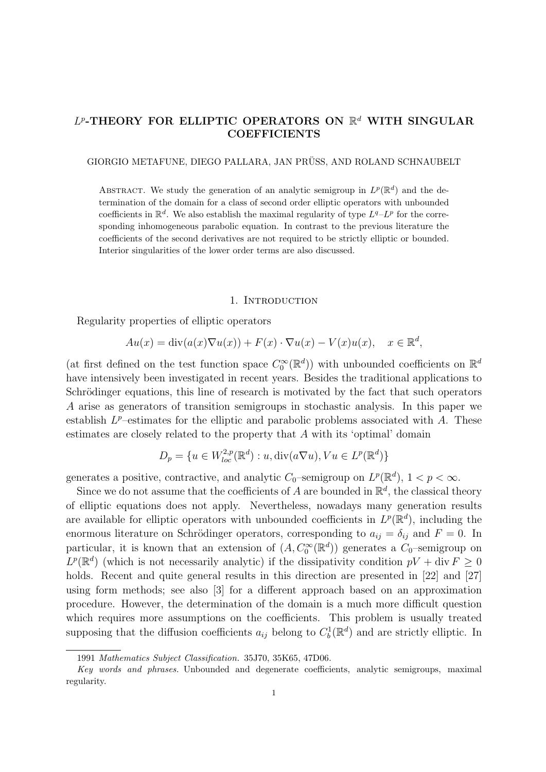# $L^p$ -THEORY FOR ELLIPTIC OPERATORS ON  $\mathbb{R}^d$  WITH SINGULAR **COEFFICIENTS**

GIORGIO METAFUNE, DIEGO PALLARA, JAN PRÜSS, AND ROLAND SCHNAUBELT

ABSTRACT. We study the generation of an analytic semigroup in  $L^p(\mathbb{R}^d)$  and the determination of the domain for a class of second order elliptic operators with unbounded coefficients in  $\mathbb{R}^d$ . We also establish the maximal regularity of type  $L^q-L^p$  for the corresponding inhomogeneous parabolic equation. In contrast to the previous literature the coefficients of the second derivatives are not required to be strictly elliptic or bounded. Interior singularities of the lower order terms are also discussed.

#### 1. INTRODUCTION

Regularity properties of elliptic operators

$$
Au(x) = \text{div}(a(x)\nabla u(x)) + F(x) \cdot \nabla u(x) - V(x)u(x), \quad x \in \mathbb{R}^d,
$$

(at first defined on the test function space  $C_0^{\infty}(\mathbb{R}^d)$ ) with unbounded coefficients on  $\mathbb{R}^d$ have intensively been investigated in recent years. Besides the traditional applications to Schrödinger equations, this line of research is motivated by the fact that such operators A arise as generators of transition semigroups in stochastic analysis. In this paper we establish  $L^p$ -estimates for the elliptic and parabolic problems associated with A. These estimates are closely related to the property that A with its 'optimal' domain

$$
D_p = \{ u \in W^{2,p}_{loc}(\mathbb{R}^d) : u, \text{div}(a\nabla u), Vu \in L^p(\mathbb{R}^d) \}
$$

generates a positive, contractive, and analytic  $C_0$ -semigroup on  $L^p(\mathbb{R}^d)$ ,  $1 < p < \infty$ .

Since we do not assume that the coefficients of A are bounded in  $\mathbb{R}^d$ , the classical theory of elliptic equations does not apply. Nevertheless, nowadays many generation results are available for elliptic operators with unbounded coefficients in  $L^p(\mathbb{R}^d)$ , including the enormous literature on Schrödinger operators, corresponding to  $a_{ij} = \delta_{ij}$  and  $F = 0$ . In particular, it is known that an extension of  $(A, C_0^{\infty}(\mathbb{R}^d))$  generates a  $C_0$ -semigroup on  $L^p(\mathbb{R}^d)$  (which is not necessarily analytic) if the dissipativity condition  $pV + \text{div } F \geq 0$ holds. Recent and quite general results in this direction are presented in [22] and [27] using form methods; see also [3] for a different approach based on an approximation procedure. However, the determination of the domain is a much more difficult question which requires more assumptions on the coefficients. This problem is usually treated supposing that the diffusion coefficients  $a_{ij}$  belong to  $C_b^1(\mathbb{R}^d)$  and are strictly elliptic. In

<sup>1991</sup> Mathematics Subject Classification. 35J70, 35K65, 47D06.

Key words and phrases. Unbounded and degenerate coefficients, analytic semigroups, maximal regularity.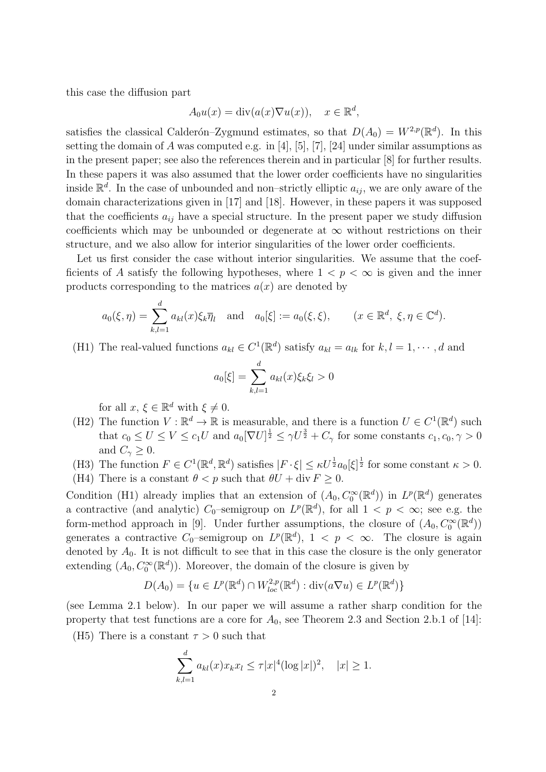this case the diffusion part

$$
A_0 u(x) = \text{div}(a(x)\nabla u(x)), \quad x \in \mathbb{R}^d,
$$

satisfies the classical Calderón–Zygmund estimates, so that  $D(A_0) = W^{2,p}(\mathbb{R}^d)$ . In this setting the domain of A was computed e.g. in [4], [5], [7], [24] under similar assumptions as in the present paper; see also the references therein and in particular [8] for further results. In these papers it was also assumed that the lower order coefficients have no singularities inside  $\mathbb{R}^d$ . In the case of unbounded and non-strictly elliptic  $a_{ij}$ , we are only aware of the domain characterizations given in [17] and [18]. However, in these papers it was supposed that the coefficients  $a_{ij}$  have a special structure. In the present paper we study diffusion coefficients which may be unbounded or degenerate at  $\infty$  without restrictions on their structure, and we also allow for interior singularities of the lower order coefficients.

Let us first consider the case without interior singularities. We assume that the coefficients of A satisfy the following hypotheses, where  $1 < p < \infty$  is given and the inner products corresponding to the matrices  $a(x)$  are denoted by

$$
a_0(\xi,\eta) = \sum_{k,l=1}^d a_{kl}(x)\xi_k\overline{\eta}_l \quad \text{and} \quad a_0[\xi] := a_0(\xi,\xi), \qquad (x \in \mathbb{R}^d, \ \xi, \eta \in \mathbb{C}^d).
$$

(H1) The real-valued functions  $a_{kl} \in C^1(\mathbb{R}^d)$  satisfy  $a_{kl} = a_{lk}$  for  $k, l = 1, \dots, d$  and

$$
a_0[\xi] = \sum_{k,l=1}^d a_{kl}(x)\xi_k \xi_l > 0
$$

for all  $x, \xi \in \mathbb{R}^d$  with  $\xi \neq 0$ .

- (H2) The function  $V : \mathbb{R}^d \to \mathbb{R}$  is measurable, and there is a function  $U \in C^1(\mathbb{R}^d)$  such that  $c_0 \leq U \leq V \leq c_1U$  and  $a_0[\nabla U]^{\frac{1}{2}} \leq \gamma U^{\frac{3}{2}} + C_{\gamma}$  for some constants  $c_1, c_0, \gamma > 0$ and  $C_{\gamma} \geq 0$ .
- (H3) The function  $F \in C^1(\mathbb{R}^d, \mathbb{R}^d)$  satisfies  $|F \cdot \xi| \leq \kappa U^{\frac{1}{2}} a_0[\xi]^{\frac{1}{2}}$  for some constant  $\kappa > 0$ .
- (H4) There is a constant  $\theta < p$  such that  $\theta U + \text{div } F \geq 0$ .

Condition (H1) already implies that an extension of  $(A_0, C_0^{\infty}(\mathbb{R}^d))$  in  $L^p(\mathbb{R}^d)$  generates a contractive (and analytic)  $C_0$ -semigroup on  $L^p(\mathbb{R}^d)$ , for all  $1 < p < \infty$ ; see e.g. the form-method approach in [9]. Under further assumptions, the closure of  $(A_0, C_0^{\infty}(\mathbb{R}^d))$ generates a contractive  $C_0$ -semigroup on  $L^p(\mathbb{R}^d)$ ,  $1 < p < \infty$ . The closure is again denoted by  $A_0$ . It is not difficult to see that in this case the closure is the only generator extending  $(A_0, C_0^{\infty}(\mathbb{R}^d))$ . Moreover, the domain of the closure is given by

$$
D(A_0) = \{ u \in L^p(\mathbb{R}^d) \cap W_{loc}^{2,p}(\mathbb{R}^d) : \text{div}(a\nabla u) \in L^p(\mathbb{R}^d) \}
$$

(see Lemma 2.1 below). In our paper we will assume a rather sharp condition for the property that test functions are a core for  $A_0$ , see Theorem 2.3 and Section 2.b.1 of [14]:

(H5) There is a constant  $\tau > 0$  such that

$$
\sum_{k,l=1}^d a_{kl}(x)x_k x_l \le \tau |x|^4 (\log |x|)^2, \quad |x| \ge 1.
$$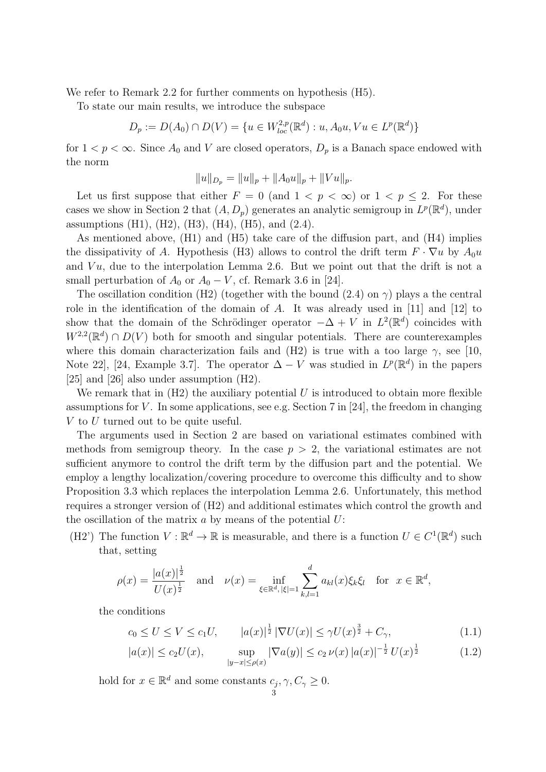We refer to Remark 2.2 for further comments on hypothesis  $(H5)$ .

To state our main results, we introduce the subspace

$$
D_p := D(A_0) \cap D(V) = \{ u \in W_{loc}^{2,p}(\mathbb{R}^d) : u, A_0 u, Vu \in L^p(\mathbb{R}^d) \}
$$

for  $1 < p < \infty$ . Since  $A_0$  and V are closed operators,  $D_p$  is a Banach space endowed with the norm

$$
||u||_{D_p} = ||u||_p + ||A_0u||_p + ||Vu||_p.
$$

Let us first suppose that either  $F = 0$  (and  $1 \lt p \lt \infty$ ) or  $1 \lt p \le 2$ . For these cases we show in Section 2 that  $(A, D_p)$  generates an analytic semigroup in  $L^p(\mathbb{R}^d)$ , under assumptions (H1), (H2), (H3), (H4), (H5), and  $(2.4)$ .

As mentioned above, (H1) and (H5) take care of the diffusion part, and (H4) implies the dissipativity of A. Hypothesis (H3) allows to control the drift term  $F \cdot \nabla u$  by  $A_0u$ and  $Vu$ , due to the interpolation Lemma 2.6. But we point out that the drift is not a small perturbation of  $A_0$  or  $A_0 - V$ , cf. Remark 3.6 in [24].

The oscillation condition (H2) (together with the bound (2.4) on  $\gamma$ ) plays a the central role in the identification of the domain of A. It was already used in [11] and [12] to show that the domain of the Schrödinger operator  $-\Delta + V$  in  $L^2(\mathbb{R}^d)$  coincides with  $W^{2,2}(\mathbb{R}^d) \cap D(V)$  both for smooth and singular potentials. There are counterexamples where this domain characterization fails and (H2) is true with a too large  $\gamma$ , see [10, Note 22, [24, Example 3.7]. The operator  $\Delta - V$  was studied in  $L^p(\mathbb{R}^d)$  in the papers [25] and [26] also under assumption (H2).

We remark that in  $(H2)$  the auxiliary potential U is introduced to obtain more flexible assumptions for V. In some applications, see e.g. Section 7 in [24], the freedom in changing  $V$  to  $U$  turned out to be quite useful.

The arguments used in Section 2 are based on variational estimates combined with methods from semigroup theory. In the case  $p > 2$ , the variational estimates are not sufficient anymore to control the drift term by the diffusion part and the potential. We employ a lengthy localization/covering procedure to overcome this difficulty and to show Proposition 3.3 which replaces the interpolation Lemma 2.6. Unfortunately, this method requires a stronger version of (H2) and additional estimates which control the growth and the oscillation of the matrix  $a$  by means of the potential  $U$ :

(H2') The function  $V : \mathbb{R}^d \to \mathbb{R}$  is measurable, and there is a function  $U \in C^1(\mathbb{R}^d)$  such that, setting

$$
\rho(x) = \frac{|a(x)|^{\frac{1}{2}}}{U(x)^{\frac{1}{2}}} \quad \text{and} \quad \nu(x) = \inf_{\xi \in \mathbb{R}^d, |\xi| = 1} \sum_{k,l=1}^d a_{kl}(x) \xi_k \xi_l \quad \text{for} \ \ x \in \mathbb{R}^d,
$$

the conditions

$$
c_0 \le U \le V \le c_1 U, \qquad |a(x)|^{\frac{1}{2}} \left| \nabla U(x) \right| \le \gamma U(x)^{\frac{3}{2}} + C_{\gamma}, \tag{1.1}
$$

$$
|a(x)| \le c_2 U(x), \qquad \sup_{|y-x| \le \rho(x)} |\nabla a(y)| \le c_2 \nu(x) |a(x)|^{-\frac{1}{2}} U(x)^{\frac{1}{2}} \tag{1.2}
$$

hold for  $x \in \mathbb{R}^d$  and some constants  $c_j, \gamma, C_\gamma \geq 0$ .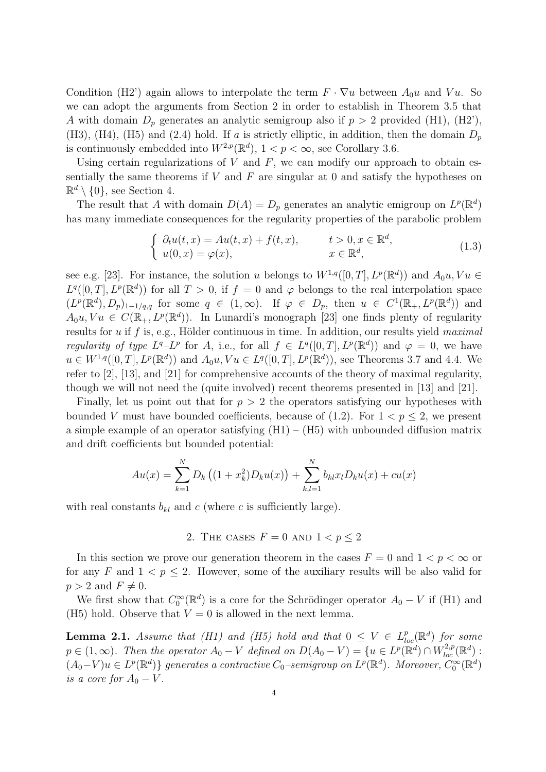Condition (H2') again allows to interpolate the term  $F \cdot \nabla u$  between  $A_0 u$  and  $Vu$ . So we can adopt the arguments from Section 2 in order to establish in Theorem 3.5 that A with domain  $D_p$  generates an analytic semigroup also if  $p > 2$  provided (H1), (H2'), (H3), (H4), (H5) and (2.4) hold. If a is strictly elliptic, in addition, then the domain  $D_p$ is continuously embedded into  $W^{2,p}(\mathbb{R}^d)$ ,  $1 < p < \infty$ , see Corollary 3.6.

Using certain regularizations of  $V$  and  $F$ , we can modify our approach to obtain essentially the same theorems if  $V$  and  $F$  are singular at 0 and satisfy the hypotheses on  $\mathbb{R}^d \setminus \{0\}$ , see Section 4.

The result that A with domain  $D(A) = D_p$  generates an analytic emigroup on  $L^p(\mathbb{R}^d)$ has many immediate consequences for the regularity properties of the parabolic problem

$$
\begin{cases}\n\partial_t u(t,x) = Au(t,x) + f(t,x), & t > 0, x \in \mathbb{R}^d, \\
u(0,x) = \varphi(x), & x \in \mathbb{R}^d,\n\end{cases}
$$
\n(1.3)

see e.g. [23]. For instance, the solution u belongs to  $W^{1,q}([0,T], L^p(\mathbb{R}^d))$  and  $A_0u, Vu \in$  $L^q([0,T], L^p(\mathbb{R}^d))$  for all  $T > 0$ , if  $f = 0$  and  $\varphi$  belongs to the real interpolation space  $(L^p(\mathbb{R}^d), D_p)_{1-1/q,q}$  for some  $q \in (1,\infty)$ . If  $\varphi \in D_p$ , then  $u \in C^1(\mathbb{R}_+, L^p(\mathbb{R}^d))$  and  $A_0u, Vu \in C(\mathbb{R}_+, L^p(\mathbb{R}^d))$ . In Lunardi's monograph [23] one finds plenty of regularity results for  $u$  if  $f$  is, e.g., Hölder continuous in time. In addition, our results yield maximal regularity of type  $L^q - L^p$  for A, i.e., for all  $f \in L^q([0,T], L^p(\mathbb{R}^d))$  and  $\varphi = 0$ , we have  $u \in W^{1,q}([0,T], L^p(\mathbb{R}^d))$  and  $A_0u, Vu \in L^q([0,T], L^p(\mathbb{R}^d))$ , see Theorems 3.7 and 4.4. We refer to [2], [13], and [21] for comprehensive accounts of the theory of maximal regularity, though we will not need the (quite involved) recent theorems presented in [13] and [21].

Finally, let us point out that for  $p > 2$  the operators satisfying our hypotheses with bounded V must have bounded coefficients, because of  $(1.2)$ . For  $1 < p < 2$ , we present a simple example of an operator satisfying  $(H1) - (H5)$  with unbounded diffusion matrix and drift coefficients but bounded potential:

$$
Au(x) = \sum_{k=1}^{N} D_k ((1 + x_k^2)D_k u(x)) + \sum_{k,l=1}^{N} b_{kl} x_l D_k u(x) + cu(x)
$$

with real constants  $b_{kl}$  and c (where c is sufficiently large).

## 2. THE CASES  $F = 0$  AND  $1 < p \leq 2$

In this section we prove our generation theorem in the cases  $F = 0$  and  $1 < p < \infty$  or for any F and  $1 < p \leq 2$ . However, some of the auxiliary results will be also valid for  $p > 2$  and  $F \neq 0$ .

We first show that  $C_0^{\infty}(\mathbb{R}^d)$  is a core for the Schrödinger operator  $A_0 - V$  if (H1) and (H5) hold. Observe that  $V = 0$  is allowed in the next lemma.

**Lemma 2.1.** Assume that (H1) and (H5) hold and that  $0 \leq V \in L^p_{loc}(\mathbb{R}^d)$  for some  $p \in (1,\infty)$ . Then the operator  $A_0 - V$  defined on  $D(A_0 - V) = \{u \in L^p(\mathbb{R}^d) \cap W_{loc}^{2,p}(\mathbb{R}^d)$ :  $(A_0-V)u ∈ L<sup>p</sup>(ℝ<sup>d</sup>)$ } generates a contractive  $C_0$ -semigroup on  $L<sup>p</sup>(ℝ<sup>d</sup>)$ . Moreover,  $C_0^{\infty}(ℝ<sup>d</sup>)$ is a core for  $A_0 - V$ .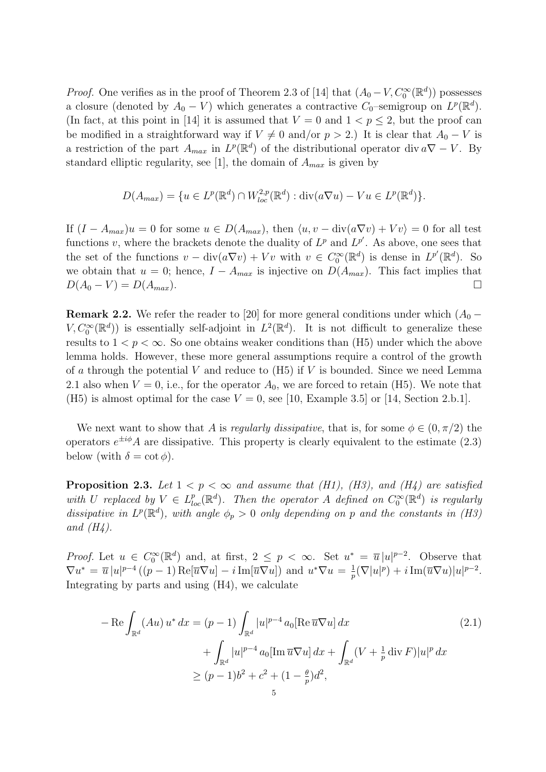*Proof.* One verifies as in the proof of Theorem 2.3 of [14] that  $(A_0 - V, C_0^{\infty}(\mathbb{R}^d))$  possesses a closure (denoted by  $A_0 - V$ ) which generates a contractive  $C_0$ -semigroup on  $L^p(\mathbb{R}^d)$ . (In fact, at this point in [14] it is assumed that  $V = 0$  and  $1 < p \le 2$ , but the proof can be modified in a straightforward way if  $V \neq 0$  and/or  $p > 2$ .) It is clear that  $A_0 - V$  is a restriction of the part  $A_{max}$  in  $L^p(\mathbb{R}^d)$  of the distributional operator div  $a\nabla - V$ . By standard elliptic regularity, see [1], the domain of  $A_{max}$  is given by

$$
D(A_{max}) = \{ u \in L^p(\mathbb{R}^d) \cap W_{loc}^{2,p}(\mathbb{R}^d) : \text{div}(a\nabla u) - Vu \in L^p(\mathbb{R}^d) \}.
$$

If  $(I - A_{max})u = 0$  for some  $u \in D(A_{max})$ , then  $\langle u, v - \text{div}(a\nabla v) + V v \rangle = 0$  for all test functions v, where the brackets denote the duality of  $L^p$  and  $L^{p'}$ . As above, one sees that the set of the functions  $v - \text{div}(a\nabla v) + Vv$  with  $v \in C_0^{\infty}(\mathbb{R}^d)$  is dense in  $L^{p'}(\mathbb{R}^d)$ . So we obtain that  $u = 0$ ; hence,  $I - A_{max}$  is injective on  $D(A_{max})$ . This fact implies that  $D(A_0 - V) = D(A_{max}).$ 

**Remark 2.2.** We refer the reader to [20] for more general conditions under which  $(A_0 V, C_0^{\infty}(\mathbb{R}^d)$  is essentially self-adjoint in  $L^2(\mathbb{R}^d)$ . It is not difficult to generalize these results to  $1 < p < \infty$ . So one obtains weaker conditions than (H5) under which the above lemma holds. However, these more general assumptions require a control of the growth of a through the potential V and reduce to  $(H5)$  if V is bounded. Since we need Lemma 2.1 also when  $V = 0$ , i.e., for the operator  $A_0$ , we are forced to retain (H5). We note that (H5) is almost optimal for the case  $V = 0$ , see [10, Example 3.5] or [14, Section 2.b.1].

We next want to show that A is *regularly dissipative*, that is, for some  $\phi \in (0, \pi/2)$  the operators  $e^{\pm i\phi}A$  are dissipative. This property is clearly equivalent to the estimate (2.3) below (with  $\delta = \cot \phi$ ).

**Proposition 2.3.** Let  $1 < p < \infty$  and assume that (H1), (H3), and (H4) are satisfied with U replaced by  $V \in L_{loc}^p(\mathbb{R}^d)$ . Then the operator A defined on  $C_0^{\infty}(\mathbb{R}^d)$  is regularly dissipative in  $L^p(\mathbb{R}^d)$ , with angle  $\phi_p > 0$  only depending on p and the constants in (H3) and  $(H_4)$ .

*Proof.* Let  $u \in C_0^{\infty}(\mathbb{R}^d)$  and, at first,  $2 \leq p < \infty$ . Set  $u^* = \overline{u}|u|^{p-2}$ . Observe that  $\nabla u^* = \overline{u} |u|^{p-4} ((p-1) \operatorname{Re}[\overline{u} \nabla u] - i \operatorname{Im}[\overline{u} \nabla u])$  and  $u^* \nabla u = \frac{1}{r}$  $\frac{1}{p}(\nabla |u|^p) + i \operatorname{Im}(\overline{u}\nabla u)|u|^{p-2}.$ Integrating by parts and using (H4), we calculate

$$
- \operatorname{Re} \int_{\mathbb{R}^d} (Au) u^* dx = (p-1) \int_{\mathbb{R}^d} |u|^{p-4} a_0 [\operatorname{Re} \overline{u} \nabla u] dx
$$
  
+ 
$$
\int_{\mathbb{R}^d} |u|^{p-4} a_0 [\operatorname{Im} \overline{u} \nabla u] dx + \int_{\mathbb{R}^d} (V + \frac{1}{p} \operatorname{div} F) |u|^p dx
$$
  

$$
\ge (p-1)b^2 + c^2 + (1 - \frac{\theta}{p})d^2,
$$
 (2.1)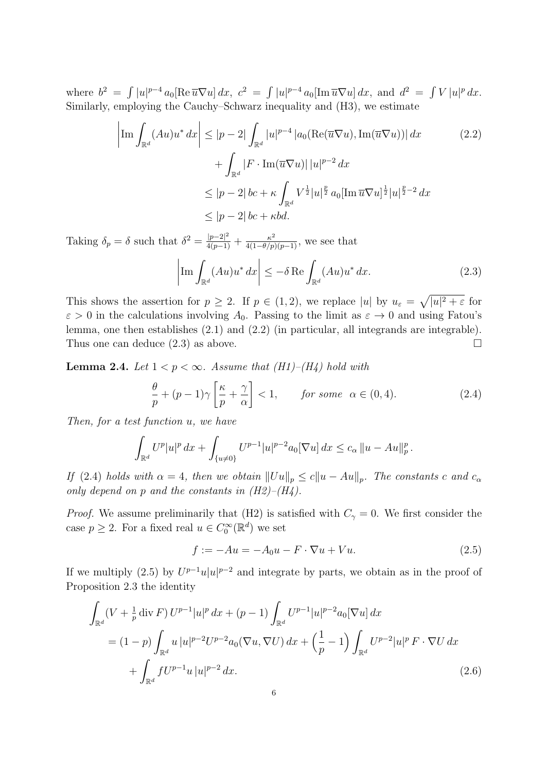where  $b^2 = \int |u|^{p-4} a_0 [\text{Re }\overline{u} \nabla u] dx$ ,  $c^2 = \int |u|^{p-4} a_0 [\text{Im }\overline{u} \nabla u] dx$ , and  $d^2 = \int V |u|^p dx$ . Similarly, employing the Cauchy–Schwarz inequality and (H3), we estimate

$$
\left| \text{Im} \int_{\mathbb{R}^d} (Au) u^* dx \right| \le |p-2| \int_{\mathbb{R}^d} |u|^{p-4} |a_0(\text{Re}(\overline{u} \nabla u), \text{Im}(\overline{u} \nabla u))| dx
$$
\n
$$
+ \int_{\mathbb{R}^d} |F \cdot \text{Im}(\overline{u} \nabla u)| |u|^{p-2} dx
$$
\n
$$
\le |p-2| b c + \kappa \int_{\mathbb{R}^d} V^{\frac{1}{2}} |u|^{\frac{p}{2}} a_0 [\text{Im } \overline{u} \nabla u]^{\frac{1}{2}} |u|^{\frac{p}{2}-2} dx
$$
\n
$$
\le |p-2| b c + \kappa b d.
$$
\n(2.2)

Taking  $\delta_p = \delta$  such that  $\delta^2 = \frac{|p-2|^2}{4(p-1)} + \frac{\kappa^2}{4(1-\theta/p)(p-1)}$ , we see that

$$
\left| \operatorname{Im} \int_{\mathbb{R}^d} (Au) u^* dx \right| \le -\delta \operatorname{Re} \int_{\mathbb{R}^d} (Au) u^* dx. \tag{2.3}
$$

This shows the assertion for  $p \geq 2$ . If  $p \in (1,2)$ , we replace  $|u|$  by  $u_{\varepsilon} = \sqrt{|u|^2 + \varepsilon}$  for  $\varepsilon > 0$  in the calculations involving  $A_0$ . Passing to the limit as  $\varepsilon \to 0$  and using Fatou's lemma, one then establishes (2.1) and (2.2) (in particular, all integrands are integrable). Thus one can deduce  $(2.3)$  as above.

**Lemma 2.4.** Let  $1 < p < \infty$ . Assume that (H1)–(H4) hold with

$$
\frac{\theta}{p} + (p-1)\gamma \left[\frac{\kappa}{p} + \frac{\gamma}{\alpha}\right] < 1, \qquad \text{for some} \ \alpha \in (0, 4). \tag{2.4}
$$

Then, for a test function u, we have

$$
\int_{\mathbb{R}^d} U^p |u|^p \, dx + \int_{\{u \neq 0\}} U^{p-1} |u|^{p-2} a_0 [\nabla u] \, dx \leq c_\alpha \, \|u - Au\|_p^p \, .
$$

If (2.4) holds with  $\alpha = 4$ , then we obtain  $||Uu||_p \le c||u - Au||_p$ . The constants c and  $c_{\alpha}$ only depend on p and the constants in  $(H2)$ – $(H4)$ .

*Proof.* We assume preliminarily that (H2) is satisfied with  $C_{\gamma} = 0$ . We first consider the case  $p \geq 2$ . For a fixed real  $u \in C_0^{\infty}(\mathbb{R}^d)$  we set

$$
f := -Au = -A_0u - F \cdot \nabla u + Vu.
$$
\n
$$
(2.5)
$$

If we multiply (2.5) by  $U^{p-1}u|u|^{p-2}$  and integrate by parts, we obtain as in the proof of Proposition 2.3 the identity

$$
\int_{\mathbb{R}^d} (V + \frac{1}{p} \operatorname{div} F) U^{p-1} |u|^p dx + (p-1) \int_{\mathbb{R}^d} U^{p-1} |u|^{p-2} a_0 [\nabla u] dx
$$
\n
$$
= (1-p) \int_{\mathbb{R}^d} u |u|^{p-2} U^{p-2} a_0 (\nabla u, \nabla U) dx + \left(\frac{1}{p} - 1\right) \int_{\mathbb{R}^d} U^{p-2} |u|^p F \cdot \nabla U dx
$$
\n
$$
+ \int_{\mathbb{R}^d} f U^{p-1} u |u|^{p-2} dx. \tag{2.6}
$$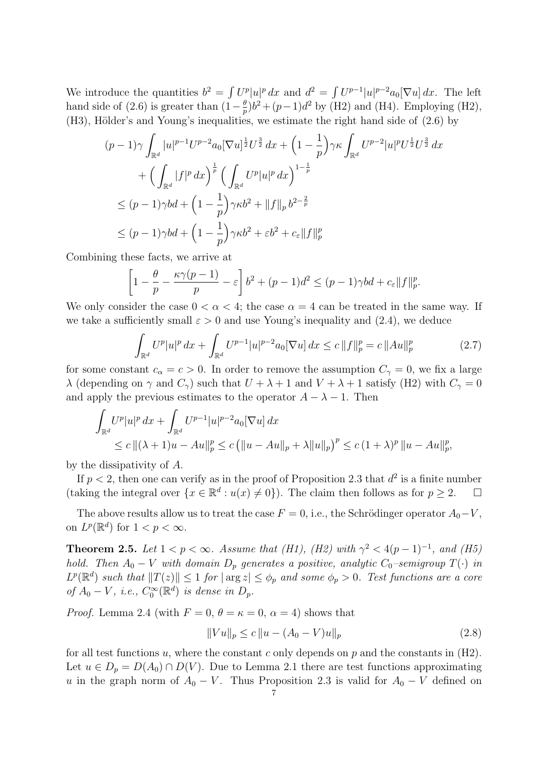We introduce the quantities  $b^2 = \int U^p |u|^p dx$  and  $d^2 = \int U^{p-1} |u|^{p-2} a_0 [\nabla u] dx$ . The left hand side of (2.6) is greater than  $(1-\frac{\theta}{r})$  $\frac{\theta}{p}$ ) $b^2 + (p-1)d^2$  by (H2) and (H4). Employing (H2),  $(H3)$ , Hölder's and Young's inequalities, we estimate the right hand side of  $(2.6)$  by

$$
(p-1)\gamma \int_{\mathbb{R}^d} |u|^{p-1} U^{p-2} a_0 [\nabla u]^{\frac{1}{2}} U^{\frac{3}{2}} dx + \left(1 - \frac{1}{p}\right) \gamma \kappa \int_{\mathbb{R}^d} U^{p-2} |u|^p U^{\frac{1}{2}} U^{\frac{3}{2}} dx
$$
  
+  $\left(\int_{\mathbb{R}^d} |f|^p dx\right)^{\frac{1}{p}} \left(\int_{\mathbb{R}^d} U^p |u|^p dx\right)^{1-\frac{1}{p}}$   
 $\leq (p-1)\gamma bd + \left(1 - \frac{1}{p}\right) \gamma \kappa b^2 + ||f||_p b^{2-\frac{2}{p}}$   
 $\leq (p-1)\gamma bd + \left(1 - \frac{1}{p}\right) \gamma \kappa b^2 + \varepsilon b^2 + c_{\varepsilon} ||f||_p^p$ 

Combining these facts, we arrive at

$$
\left[1 - \frac{\theta}{p} - \frac{\kappa \gamma(p-1)}{p} - \varepsilon\right] b^2 + (p-1)d^2 \le (p-1)\gamma bd + c_{\varepsilon} ||f||_p^p.
$$

We only consider the case  $0 < \alpha < 4$ ; the case  $\alpha = 4$  can be treated in the same way. If we take a sufficiently small  $\varepsilon > 0$  and use Young's inequality and (2.4), we deduce

$$
\int_{\mathbb{R}^d} U^p |u|^p \, dx + \int_{\mathbb{R}^d} U^{p-1} |u|^{p-2} a_0 [\nabla u] \, dx \le c \, ||f||_p^p = c \, ||Au||_p^p \tag{2.7}
$$

for some constant  $c_{\alpha} = c > 0$ . In order to remove the assumption  $C_{\gamma} = 0$ , we fix a large  $\lambda$  (depending on  $\gamma$  and  $C_{\gamma}$ ) such that  $U + \lambda + 1$  and  $V + \lambda + 1$  satisfy (H2) with  $C_{\gamma} = 0$ and apply the previous estimates to the operator  $A - \lambda - 1$ . Then

$$
\int_{\mathbb{R}^d} U^p |u|^p dx + \int_{\mathbb{R}^d} U^{p-1} |u|^{p-2} a_0 [\nabla u] dx
$$
  
\n
$$
\leq c ||(\lambda + 1)u - Au||_p^p \leq c (||u - Au||_p + \lambda ||u||_p)^p \leq c (1 + \lambda)^p ||u - Au||_p^p,
$$

by the dissipativity of A.

If  $p < 2$ , then one can verify as in the proof of Proposition 2.3 that  $d^2$  is a finite number (taking the integral over  $\{x \in \mathbb{R}^d : u(x) \neq 0\}$ ). The claim then follows as for  $p \geq 2$ .  $\Box$ 

The above results allow us to treat the case  $F = 0$ , i.e., the Schrödinger operator  $A_0 - V$ , on  $L^p(\mathbb{R}^d)$  for  $1 < p < \infty$ .

**Theorem 2.5.** Let  $1 < p < \infty$ . Assume that (H1), (H2) with  $\gamma^2 < 4(p-1)^{-1}$ , and (H5) hold. Then  $A_0 - V$  with domain  $D_p$  generates a positive, analytic  $C_0$ -semigroup  $T(\cdot)$  in  $L^p(\mathbb{R}^d)$  such that  $||T(z)|| \leq 1$  for  $|\arg z| \leq \phi_p$  and some  $\phi_p > 0$ . Test functions are a core of  $A_0 - V$ , i.e.,  $C_0^{\infty}(\mathbb{R}^d)$  is dense in  $D_p$ .

*Proof.* Lemma 2.4 (with  $F = 0$ ,  $\theta = \kappa = 0$ ,  $\alpha = 4$ ) shows that

$$
||Vu||_p \le c ||u - (A_0 - V)u||_p \tag{2.8}
$$

for all test functions u, where the constant c only depends on  $p$  and the constants in  $(H2)$ . Let  $u \in D_p = D(A_0) \cap D(V)$ . Due to Lemma 2.1 there are test functions approximating u in the graph norm of  $A_0 - V$ . Thus Proposition 2.3 is valid for  $A_0 - V$  defined on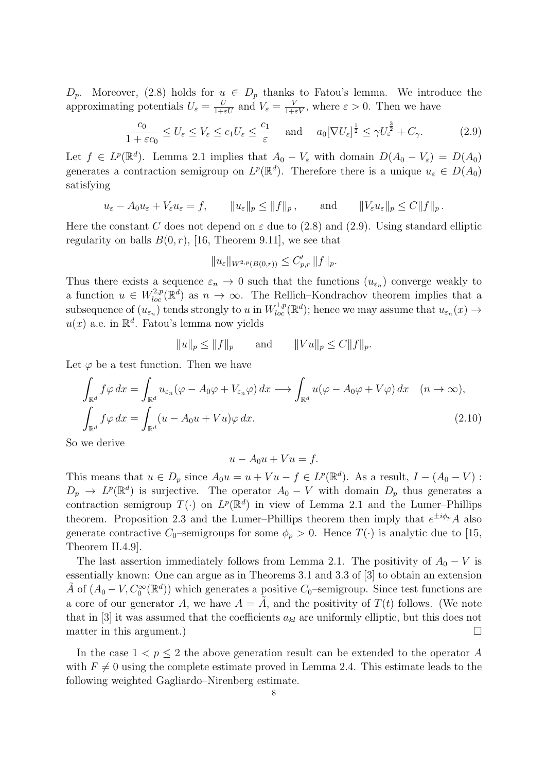$D_p$ . Moreover, (2.8) holds for  $u \in D_p$  thanks to Fatou's lemma. We introduce the approximating potentials  $U_{\varepsilon} = \frac{U}{1+\varepsilon U}$  and  $V_{\varepsilon} = \frac{V}{1+\varepsilon V}$ , where  $\varepsilon > 0$ . Then we have

$$
\frac{c_0}{1+\varepsilon c_0} \le U_{\varepsilon} \le V_{\varepsilon} \le c_1 U_{\varepsilon} \le \frac{c_1}{\varepsilon} \quad \text{and} \quad a_0 [\nabla U_{\varepsilon}]^{\frac{1}{2}} \le \gamma U_{\varepsilon}^{\frac{3}{2}} + C_{\gamma}.
$$
 (2.9)

Let  $f \in L^p(\mathbb{R}^d)$ . Lemma 2.1 implies that  $A_0 - V_\varepsilon$  with domain  $D(A_0 - V_\varepsilon) = D(A_0)$ generates a contraction semigroup on  $L^p(\mathbb{R}^d)$ . Therefore there is a unique  $u_{\varepsilon} \in D(A_0)$ satisfying

$$
u_{\varepsilon} - A_0 u_{\varepsilon} + V_{\varepsilon} u_{\varepsilon} = f,
$$
  $||u_{\varepsilon}||_p \le ||f||_p$ , and  $||V_{\varepsilon} u_{\varepsilon}||_p \le C ||f||_p$ .

Here the constant C does not depend on  $\varepsilon$  due to (2.8) and (2.9). Using standard elliptic regularity on balls  $B(0, r)$ , [16, Theorem 9.11], we see that

$$
||u_{\varepsilon}||_{W^{2,p}(B(0,r))} \leq C'_{p,r} ||f||_p.
$$

Thus there exists a sequence  $\varepsilon_n \to 0$  such that the functions  $(u_{\varepsilon_n})$  converge weakly to a function  $u \in W_{loc}^{2,p}(\mathbb{R}^d)$  as  $n \to \infty$ . The Rellich–Kondrachov theorem implies that a subsequence of  $(u_{\varepsilon_n})$  tends strongly to u in  $W^{1,p}_{loc}(\mathbb{R}^d)$ ; hence we may assume that  $u_{\varepsilon_n}(x) \to$  $u(x)$  a.e. in  $\mathbb{R}^d$ . Fatou's lemma now yields

$$
||u||_p \le ||f||_p
$$
 and  $||Vu||_p \le C||f||_p$ .

Let  $\varphi$  be a test function. Then we have

$$
\int_{\mathbb{R}^d} f \varphi \, dx = \int_{\mathbb{R}^d} u_{\varepsilon_n} (\varphi - A_0 \varphi + V_{\varepsilon_n} \varphi) \, dx \longrightarrow \int_{\mathbb{R}^d} u (\varphi - A_0 \varphi + V \varphi) \, dx \quad (n \to \infty),
$$
\n
$$
\int_{\mathbb{R}^d} f \varphi \, dx = \int_{\mathbb{R}^d} (u - A_0 u + Vu) \varphi \, dx.
$$
\n(2.10)

So we derive

$$
u - A_0 u + Vu = f.
$$

This means that  $u \in D_p$  since  $A_0u = u + Vu - f \in L^p(\mathbb{R}^d)$ . As a result,  $I - (A_0 - V)$ :  $D_p \to L^p(\mathbb{R}^d)$  is surjective. The operator  $A_0 - V$  with domain  $D_p$  thus generates a contraction semigroup  $T(\cdot)$  on  $L^p(\mathbb{R}^d)$  in view of Lemma 2.1 and the Lumer-Phillips theorem. Proposition 2.3 and the Lumer-Phillips theorem then imply that  $e^{\pm i\phi_p}A$  also generate contractive  $C_0$ -semigroups for some  $\phi_p > 0$ . Hence  $T(\cdot)$  is analytic due to [15, Theorem II.4.9].

The last assertion immediately follows from Lemma 2.1. The positivity of  $A_0 - V$  is essentially known: One can argue as in Theorems 3.1 and 3.3 of [3] to obtain an extension  $\tilde{A}$  of  $(A_0 - V, C_0^{\infty}(\mathbb{R}^d))$  which generates a positive  $C_0$ -semigroup. Since test functions are a core of our generator A, we have  $A = \tilde{A}$ , and the positivity of  $T(t)$  follows. (We note that in [3] it was assumed that the coefficients  $a_{kl}$  are uniformly elliptic, but this does not matter in this argument.)  $\Box$ 

In the case  $1 < p \leq 2$  the above generation result can be extended to the operator A with  $F \neq 0$  using the complete estimate proved in Lemma 2.4. This estimate leads to the following weighted Gagliardo–Nirenberg estimate.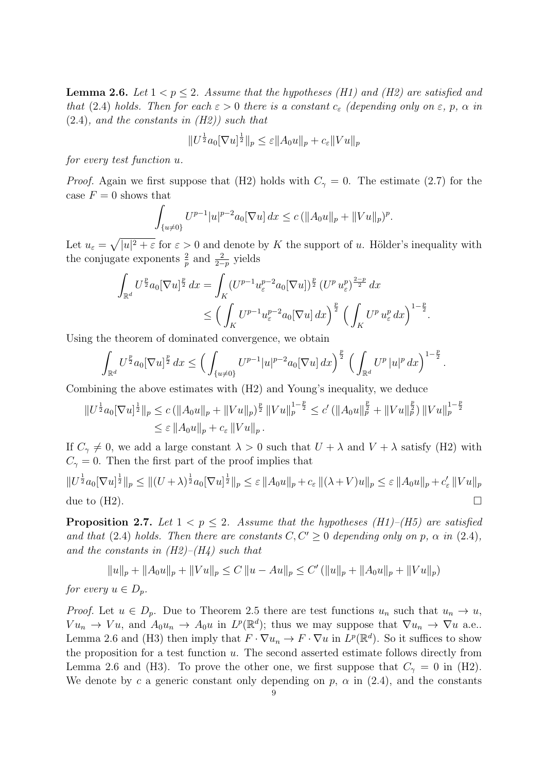**Lemma 2.6.** Let  $1 < p \leq 2$ . Assume that the hypotheses (H1) and (H2) are satisfied and that (2.4) holds. Then for each  $\varepsilon > 0$  there is a constant  $c_{\varepsilon}$  (depending only on  $\varepsilon$ , p,  $\alpha$  in  $(2.4)$ , and the constants in  $(H2)$  such that

$$
||U^{\frac{1}{2}}a_0[\nabla u]^{\frac{1}{2}}||_p \leq \varepsilon ||A_0u||_p + c_{\varepsilon} ||Vu||_p
$$

for every test function u.

*Proof.* Again we first suppose that (H2) holds with  $C_{\gamma} = 0$ . The estimate (2.7) for the case  $F = 0$  shows that

$$
\int_{\{u\neq 0\}} U^{p-1}|u|^{p-2}a_0[\nabla u] dx \le c \left( \|A_0 u\|_p + \|Vu\|_p\right)^p.
$$

Let  $u_{\varepsilon} = \sqrt{|u|^2 + \varepsilon}$  for  $\varepsilon > 0$  and denote by K the support of u. Hölder's inequality with the conjugate exponents  $\frac{2}{p}$  and  $\frac{2}{2-p}$  yields

$$
\int_{\mathbb{R}^d} U^{\frac{p}{2}} a_0 [\nabla u]^{\frac{p}{2}} dx = \int_K (U^{p-1} u_{\varepsilon}^{p-2} a_0 [\nabla u])^{\frac{p}{2}} (U^p u_{\varepsilon}^p)^{\frac{2-p}{2}} dx
$$
  

$$
\leq \left( \int_K U^{p-1} u_{\varepsilon}^{p-2} a_0 [\nabla u] dx \right)^{\frac{p}{2}} \left( \int_K U^p u_{\varepsilon}^p dx \right)^{1-\frac{p}{2}}.
$$

Using the theorem of dominated convergence, we obtain

$$
\int_{\mathbb{R}^d} U^{\frac{p}{2}} a_0 [\nabla u]^{\frac{p}{2}} dx \le \left( \int_{\{u \neq 0\}} U^{p-1} |u|^{p-2} a_0 [\nabla u] dx \right)^{\frac{p}{2}} \left( \int_{\mathbb{R}^d} U^p |u|^p dx \right)^{1-\frac{p}{2}}.
$$

Combining the above estimates with (H2) and Young's inequality, we deduce

$$
||U^{\frac{1}{2}}a_0[\nabla u]^{\frac{1}{2}}||_p \le c \left( ||A_0 u||_p + ||Vu||_p \right)^{\frac{p}{2}} ||Vu||_p^{1-\frac{p}{2}} \le c' \left( ||A_0 u||_p^{\frac{p}{2}} + ||Vu||_p^{\frac{p}{2}} \right) ||Vu||_p^{1-\frac{p}{2}}
$$
  

$$
\le \varepsilon ||A_0 u||_p + c_{\varepsilon} ||Vu||_p.
$$

If  $C_{\gamma} \neq 0$ , we add a large constant  $\lambda > 0$  such that  $U + \lambda$  and  $V + \lambda$  satisfy (H2) with  $C_{\gamma} = 0$ . Then the first part of the proof implies that

 $\|U^{\frac{1}{2}}a_0[\nabla u]^{\frac{1}{2}}\|_p\leq \|(U+\lambda)^{\frac{1}{2}}a_0[\nabla u]^{\frac{1}{2}}\|_p\leq \varepsilon\,\|A_0u\|_p+c_\varepsilon\,\|(\lambda+V)u\|_p\leq \varepsilon\,\|A_0u\|_p+c'_\varepsilon\,\|Vu\|_p$ due to  $(H2)$ .

**Proposition 2.7.** Let  $1 < p \leq 2$ . Assume that the hypotheses (H1)–(H5) are satisfied and that (2.4) holds. Then there are constants  $C, C' > 0$  depending only on p,  $\alpha$  in (2.4), and the constants in  $(H2)$ – $(H4)$  such that

$$
||u||_p + ||A_0u||_p + ||Vu||_p \le C ||u - Au||_p \le C' (||u||_p + ||A_0u||_p + ||Vu||_p)
$$

for every  $u \in D_p$ .

*Proof.* Let  $u \in D_p$ . Due to Theorem 2.5 there are test functions  $u_n$  such that  $u_n \to u$ ,  $Vu_n \to Vu$ , and  $A_0u_n \to A_0u$  in  $L^p(\mathbb{R}^d)$ ; thus we may suppose that  $\nabla u_n \to \nabla u$  a.e.. Lemma 2.6 and (H3) then imply that  $F \cdot \nabla u_n \to F \cdot \nabla u$  in  $L^p(\mathbb{R}^d)$ . So it suffices to show the proposition for a test function  $u$ . The second asserted estimate follows directly from Lemma 2.6 and (H3). To prove the other one, we first suppose that  $C_{\gamma} = 0$  in (H2). We denote by c a generic constant only depending on p,  $\alpha$  in (2.4), and the constants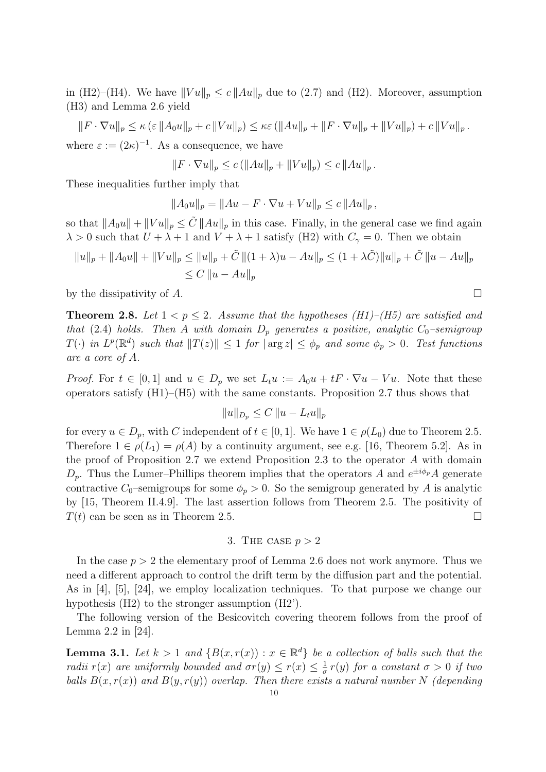in (H2)–(H4). We have  $||Vu||_p \le c ||Au||_p$  due to (2.7) and (H2). Moreover, assumption (H3) and Lemma 2.6 yield

 $||F \cdot \nabla u||_p \leq \kappa (\varepsilon ||A_0 u||_p + c ||Vu||_p) \leq \kappa \varepsilon (||Au||_p + ||F \cdot \nabla u||_p + ||Vu||_p) + c ||Vu||_p.$ where  $\varepsilon := (2\kappa)^{-1}$ . As a consequence, we have

$$
||F \cdot \nabla u||_p \le c \left( ||Au||_p + ||Vu||_p \right) \le c \, ||Au||_p \, .
$$

These inequalities further imply that

$$
||A_0u||_p = ||Au - F \cdot \nabla u + Vu||_p \le c ||Au||_p,
$$

so that  $||A_0u|| + ||Vu||_p \leq \tilde{C} ||Au||_p$  in this case. Finally, in the general case we find again  $\lambda > 0$  such that  $U + \lambda + 1$  and  $V + \lambda + 1$  satisfy (H2) with  $C_{\gamma} = 0$ . Then we obtain

$$
||u||_p + ||A_0u|| + ||Vu||_p \le ||u||_p + \tilde{C} ||(1 + \lambda)u - Au||_p \le (1 + \lambda \tilde{C})||u||_p + \tilde{C} ||u - Au||_p
$$
  

$$
\le C ||u - Au||_p
$$

by the dissipativity of A.

**Theorem 2.8.** Let  $1 < p \le 2$ . Assume that the hypotheses (H1)–(H5) are satisfied and that (2.4) holds. Then A with domain  $D_p$  generates a positive, analytic  $C_0$ -semigroup  $T(\cdot)$  in  $L^p(\mathbb{R}^d)$  such that  $||T(z)|| \leq 1$  for  $|\arg z| \leq \phi_p$  and some  $\phi_p > 0$ . Test functions are a core of A.

*Proof.* For  $t \in [0,1]$  and  $u \in D_p$  we set  $L_t u := A_0 u + tF \cdot \nabla u - Vu$ . Note that these operators satisfy  $(H1)$ – $(H5)$  with the same constants. Proposition 2.7 thus shows that

$$
||u||_{D_p} \leq C ||u - L_t u||_p
$$

for every  $u \in D_p$ , with C independent of  $t \in [0,1]$ . We have  $1 \in \rho(L_0)$  due to Theorem 2.5. Therefore  $1 \in \rho(L_1) = \rho(A)$  by a continuity argument, see e.g. [16, Theorem 5.2]. As in the proof of Proposition 2.7 we extend Proposition 2.3 to the operator A with domain  $D_p$ . Thus the Lumer–Phillips theorem implies that the operators A and  $e^{\pm i\phi_p}A$  generate contractive  $C_0$ –semigroups for some  $\phi_p > 0$ . So the semigroup generated by A is analytic by [15, Theorem II.4.9]. The last assertion follows from Theorem 2.5. The positivity of  $T(t)$  can be seen as in Theorem 2.5.

## 3. THE CASE  $p > 2$

In the case  $p > 2$  the elementary proof of Lemma 2.6 does not work anymore. Thus we need a different approach to control the drift term by the diffusion part and the potential. As in [4], [5], [24], we employ localization techniques. To that purpose we change our hypothesis (H2) to the stronger assumption (H2').

The following version of the Besicovitch covering theorem follows from the proof of Lemma 2.2 in [24].

**Lemma 3.1.** Let  $k > 1$  and  $\{B(x, r(x)) : x \in \mathbb{R}^d\}$  be a collection of balls such that the radii  $r(x)$  are uniformly bounded and  $\sigma r(y) \leq r(x) \leq \frac{1}{a}$  $\frac{1}{\sigma}r(y)$  for a constant  $\sigma > 0$  if two balls  $B(x, r(x))$  and  $B(y, r(y))$  overlap. Then there exists a natural number N (depending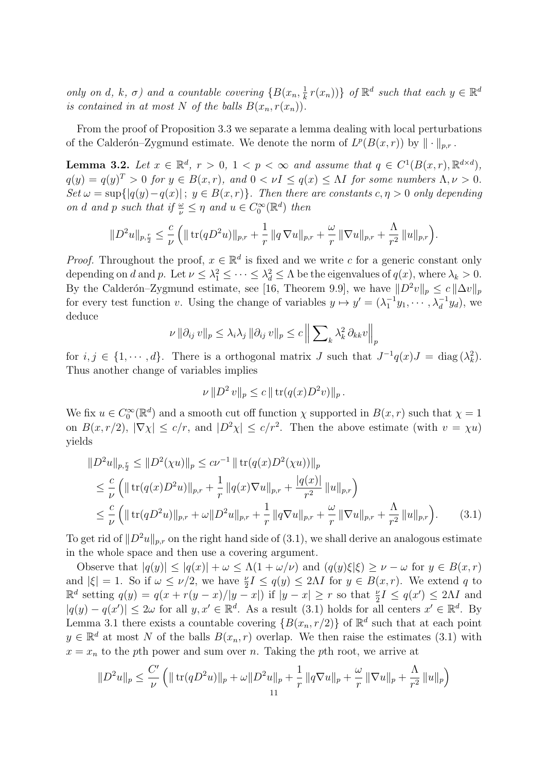only on d, k,  $\sigma$ ) and a countable covering  $\{B(x_n, \frac{1}{k})\}$  $\frac{1}{k}r(x_n)$ } of  $\mathbb{R}^d$  such that each  $y \in \mathbb{R}^d$ is contained in at most N of the balls  $B(x_n, r(x_n))$ .

From the proof of Proposition 3.3 we separate a lemma dealing with local perturbations of the Calderón–Zygmund estimate. We denote the norm of  $L^p(B(x,r))$  by  $\|\cdot\|_{p,r}$ .

**Lemma 3.2.** Let  $x \in \mathbb{R}^d$ ,  $r > 0$ ,  $1 < p < \infty$  and assume that  $q \in C^1(B(x,r), \mathbb{R}^{d \times d})$ ,  $q(y) = q(y)^{T} > 0$  for  $y \in B(x, r)$ , and  $0 < \nu I \leq q(x) \leq \Lambda I$  for some numbers  $\Lambda, \nu > 0$ . Set  $\omega = \sup\{|q(y)-q(x)|\,;\,y\in B(x,r)\}\.$  Then there are constants  $c, \eta > 0$  only depending on d and p such that if  $\frac{\omega}{\nu} \leq \eta$  and  $u \in C_0^{\infty}(\mathbb{R}^d)$  then

$$
||D^2u||_{p,\frac{r}{2}} \leq \frac{c}{\nu} \left( || \operatorname{tr}(qD^2u) ||_{p,r} + \frac{1}{r} || q \nabla u ||_{p,r} + \frac{\omega}{r} || \nabla u ||_{p,r} + \frac{\Lambda}{r^2} || u ||_{p,r} \right).
$$

*Proof.* Throughout the proof,  $x \in \mathbb{R}^d$  is fixed and we write c for a generic constant only depending on d and p. Let  $\nu \leq \lambda_1^2 \leq \cdots \leq \lambda_d^2 \leq \Lambda$  be the eigenvalues of  $q(x)$ , where  $\lambda_k > 0$ . By the Calderón–Zygmund estimate, see [16, Theorem 9.9], we have  $||D^2v||_p \le c||\Delta v||_p$ for every test function v. Using the change of variables  $y \mapsto y' = (\lambda_1^{-1}y_1, \dots, \lambda_d^{-1}y_d)$ , we deduce

$$
\nu \|\partial_{ij} v\|_p \leq \lambda_i \lambda_j \|\partial_{ij} v\|_p \leq c \left\| \sum_k \lambda_k^2 \partial_{kk} v\right\|_p
$$

for  $i, j \in \{1, \dots, d\}$ . There is a orthogonal matrix J such that  $J^{-1}q(x)J = \text{diag}(\lambda_k^2)$ . Thus another change of variables implies

$$
\nu \| D^2 v \|_p \le c \| \operatorname{tr} (q(x) D^2 v) \|_p.
$$

We fix  $u \in C_0^{\infty}(\mathbb{R}^d)$  and a smooth cut off function  $\chi$  supported in  $B(x,r)$  such that  $\chi = 1$ on  $B(x, r/2)$ ,  $|\nabla \chi| \leq c/r$ , and  $|D^2 \chi| \leq c/r^2$ . Then the above estimate (with  $v = \chi u$ ) yields

$$
\|D^2u\|_{p,\frac{r}{2}} \le \|D^2(\chi u)\|_p \le c\nu^{-1} \|\operatorname{tr}(q(x)D^2(\chi u))\|_p
$$
  
\n
$$
\le \frac{c}{\nu} \left( \|\operatorname{tr}(q(x)D^2u)\|_{p,r} + \frac{1}{r} \|q(x)\nabla u\|_{p,r} + \frac{|q(x)|}{r^2} \|u\|_{p,r} \right)
$$
  
\n
$$
\le \frac{c}{\nu} \left( \|\operatorname{tr}(qD^2u)\|_{p,r} + \omega \|D^2u\|_{p,r} + \frac{1}{r} \|q\nabla u\|_{p,r} + \frac{\omega}{r} \|\nabla u\|_{p,r} + \frac{\Lambda}{r^2} \|u\|_{p,r} \right). \tag{3.1}
$$

To get rid of  $||D^2u||_{p,r}$  on the right hand side of (3.1), we shall derive an analogous estimate in the whole space and then use a covering argument.

Observe that  $|q(y)| \leq |q(x)| + \omega \leq \Lambda(1 + \omega/\nu)$  and  $(q(y)\xi|\xi) \geq \nu - \omega$  for  $y \in B(x, r)$ and  $|\xi| = 1$ . So if  $\omega \le \nu/2$ , we have  $\frac{\nu}{2}I \le q(y) \le 2\Lambda I$  for  $y \in B(x,r)$ . We extend q to  $\mathbb{R}^d$  setting  $q(y) = q(x + r(y - x)/|y - x|)$  if  $|y - x| \geq r$  so that  $\frac{\nu}{2}I \leq q(x') \leq 2\Lambda I$  and  $|q(y) - q(x')| \leq 2\omega$  for all  $y, x' \in \mathbb{R}^d$ . As a result (3.1) holds for all centers  $x' \in \mathbb{R}^d$ . By Lemma 3.1 there exists a countable covering  $\{B(x_n, r/2)\}\$  of  $\mathbb{R}^d$  such that at each point  $y \in \mathbb{R}^d$  at most N of the balls  $B(x_n, r)$  overlap. We then raise the estimates (3.1) with  $x = x_n$  to the pth power and sum over n. Taking the pth root, we arrive at

$$
||D^{2}u||_{p} \leq \frac{C'}{\nu} \left( || \operatorname{tr}(qD^{2}u)||_{p} + \omega ||D^{2}u||_{p} + \frac{1}{r} ||q\nabla u||_{p} + \frac{\omega}{r} ||\nabla u||_{p} + \frac{\Lambda}{r^{2}} ||u||_{p} \right)
$$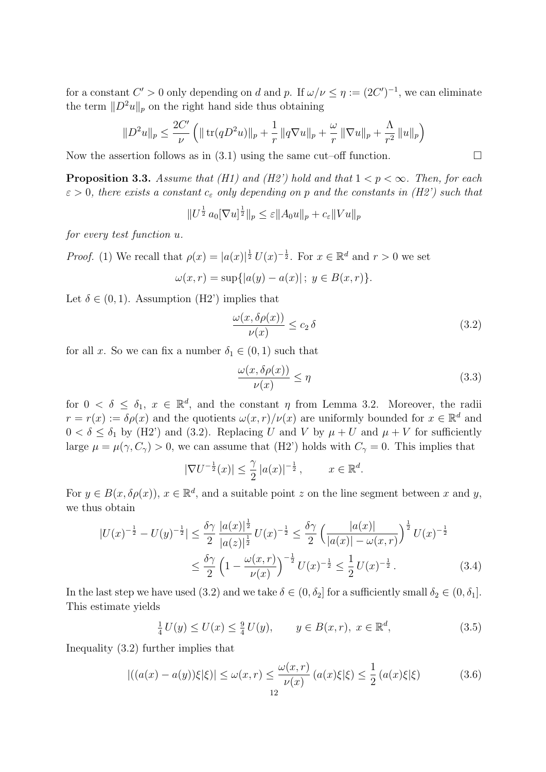for a constant  $C' > 0$  only depending on d and p. If  $\omega/\nu \leq \eta := (2C')^{-1}$ , we can eliminate the term  $||D^2u||_p$  on the right hand side thus obtaining

$$
||D^{2}u||_{p} \leq \frac{2C'}{\nu} \left( || \operatorname{tr}(qD^{2}u)||_{p} + \frac{1}{r} || q \nabla u||_{p} + \frac{\omega}{r} || \nabla u||_{p} + \frac{\Lambda}{r^{2}} || u||_{p} \right)
$$

Now the assertion follows as in  $(3.1)$  using the same cut–off function.

**Proposition 3.3.** Assume that (H1) and (H2') hold and that  $1 < p < \infty$ . Then, for each  $\varepsilon > 0$ , there exists a constant  $c_{\varepsilon}$  only depending on p and the constants in (H2') such that

 $||U^{\frac{1}{2}} a_0 [\nabla u]^{\frac{1}{2}}||_p \leq \varepsilon ||A_0 u||_p + c_{\varepsilon} ||Vu||_p$ 

for every test function u.

*Proof.* (1) We recall that  $\rho(x) = |a(x)|^{\frac{1}{2}} U(x)^{-\frac{1}{2}}$ . For  $x \in \mathbb{R}^d$  and  $r > 0$  we set

$$
\omega(x,r) = \sup\{|a(y) - a(x)| \, ; \, y \in B(x,r)\}.
$$

Let  $\delta \in (0,1)$ . Assumption (H2') implies that

$$
\frac{\omega(x,\delta\rho(x))}{\nu(x)} \le c_2 \delta \tag{3.2}
$$

for all x. So we can fix a number  $\delta_1 \in (0,1)$  such that

$$
\frac{\omega(x,\delta\rho(x))}{\nu(x)} \le \eta \tag{3.3}
$$

for  $0 < \delta \leq \delta_1$ ,  $x \in \mathbb{R}^d$ , and the constant  $\eta$  from Lemma 3.2. Moreover, the radii  $r = r(x) := \delta \rho(x)$  and the quotients  $\omega(x, r)/\nu(x)$  are uniformly bounded for  $x \in \mathbb{R}^d$  and  $0 < \delta \leq \delta_1$  by (H2') and (3.2). Replacing U and V by  $\mu + U$  and  $\mu + V$  for sufficiently large  $\mu = \mu(\gamma, C_{\gamma}) > 0$ , we can assume that (H2') holds with  $C_{\gamma} = 0$ . This implies that

$$
|\nabla U^{-\frac{1}{2}}(x)| \leq \frac{\gamma}{2} |a(x)|^{-\frac{1}{2}}, \qquad x \in \mathbb{R}^d.
$$

For  $y \in B(x, \delta \rho(x))$ ,  $x \in \mathbb{R}^d$ , and a suitable point z on the line segment between x and y, we thus obtain

$$
|U(x)^{-\frac{1}{2}} - U(y)^{-\frac{1}{2}}| \le \frac{\delta \gamma}{2} \frac{|a(x)|^{\frac{1}{2}}}{|a(z)|^{\frac{1}{2}}} U(x)^{-\frac{1}{2}} \le \frac{\delta \gamma}{2} \left(\frac{|a(x)|}{|a(x)| - \omega(x, r)}\right)^{\frac{1}{2}} U(x)^{-\frac{1}{2}}
$$
  

$$
\le \frac{\delta \gamma}{2} \left(1 - \frac{\omega(x, r)}{\nu(x)}\right)^{-\frac{1}{2}} U(x)^{-\frac{1}{2}} \le \frac{1}{2} U(x)^{-\frac{1}{2}}.
$$
 (3.4)

In the last step we have used (3.2) and we take  $\delta \in (0, \delta_2]$  for a sufficiently small  $\delta_2 \in (0, \delta_1]$ . This estimate yields

$$
\frac{1}{4}U(y) \le U(x) \le \frac{9}{4}U(y), \qquad y \in B(x, r), \ x \in \mathbb{R}^d,
$$
\n(3.5)

Inequality (3.2) further implies that

$$
|((a(x) - a(y))\xi|\xi)| \le \omega(x, r) \le \frac{\omega(x, r)}{\nu(x)} (a(x)\xi|\xi) \le \frac{1}{2} (a(x)\xi|\xi)
$$
(3.6)

12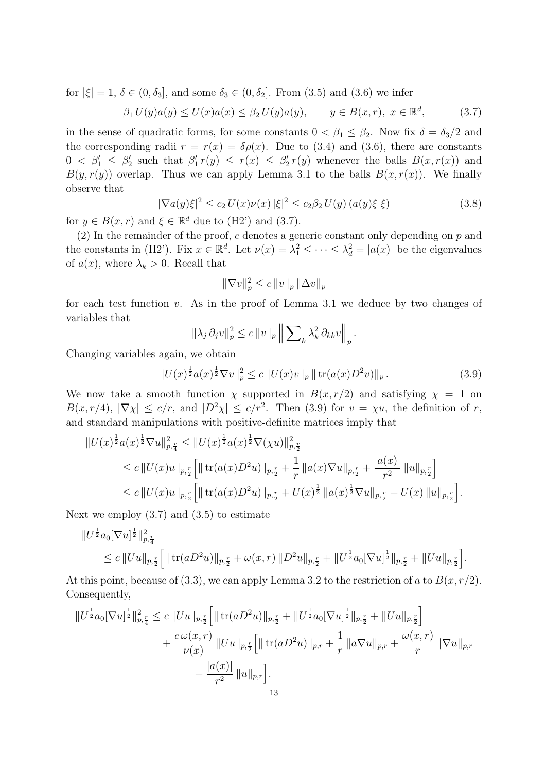for  $|\xi| = 1$ ,  $\delta \in (0, \delta_3]$ , and some  $\delta_3 \in (0, \delta_2]$ . From  $(3.5)$  and  $(3.6)$  we infer

$$
\beta_1 U(y)a(y) \le U(x)a(x) \le \beta_2 U(y)a(y), \qquad y \in B(x,r), \ x \in \mathbb{R}^d,
$$
\n(3.7)

in the sense of quadratic forms, for some constants  $0 < \beta_1 \leq \beta_2$ . Now fix  $\delta = \delta_3/2$  and the corresponding radii  $r = r(x) = \delta \rho(x)$ . Due to (3.4) and (3.6), there are constants  $0 < \beta_1' \leq \beta_2'$  such that  $\beta_1' r(y) \leq r(x) \leq \beta_2' r(y)$  whenever the balls  $B(x, r(x))$  and  $B(y, r(y))$  overlap. Thus we can apply Lemma 3.1 to the balls  $B(x, r(x))$ . We finally observe that

$$
|\nabla a(y)\xi|^2 \le c_2 U(x)\nu(x) |\xi|^2 \le c_2 \beta_2 U(y) (a(y)\xi|\xi)
$$
\n(3.8)

for  $y \in B(x, r)$  and  $\xi \in \mathbb{R}^d$  due to (H2') and (3.7).

(2) In the remainder of the proof,  $c$  denotes a generic constant only depending on  $p$  and the constants in (H2'). Fix  $x \in \mathbb{R}^d$ . Let  $\nu(x) = \lambda_1^2 \leq \cdots \leq \lambda_d^2 = |a(x)|$  be the eigenvalues of  $a(x)$ , where  $\lambda_k > 0$ . Recall that

$$
\|\nabla v\|_p^2 \le c \|v\|_p \, \|\Delta v\|_p
$$

for each test function  $v$ . As in the proof of Lemma 3.1 we deduce by two changes of variables that

$$
\|\lambda_j \partial_j v\|_p^2 \leq c \|v\|_p \left\| \sum\nolimits_k \lambda_k^2 \partial_{kk} v \right\|_p.
$$

Changing variables again, we obtain

$$
||U(x)^{\frac{1}{2}}a(x)^{\frac{1}{2}}\nabla v||_p^2 \le c||U(x)v||_p ||\operatorname{tr}(a(x)D^2v)||_p.
$$
 (3.9)

We now take a smooth function  $\chi$  supported in  $B(x, r/2)$  and satisfying  $\chi = 1$  on  $B(x, r/4)$ ,  $|\nabla \chi| \leq c/r$ , and  $|D^2 \chi| \leq c/r^2$ . Then (3.9) for  $v = \chi u$ , the definition of r, and standard manipulations with positive-definite matrices imply that

$$
\|U(x)^{\frac{1}{2}}a(x)^{\frac{1}{2}}\nabla u\|_{p,\frac{r}{4}}^{2} \leq \|U(x)^{\frac{1}{2}}a(x)^{\frac{1}{2}}\nabla(\chi u)\|_{p,\frac{r}{2}}^{2}
$$
  
\n
$$
\leq c\|U(x)u\|_{p,\frac{r}{2}}\Big[\|\operatorname{tr}(a(x)D^{2}u)\|_{p,\frac{r}{2}} + \frac{1}{r}\|a(x)\nabla u\|_{p,\frac{r}{2}} + \frac{|a(x)|}{r^{2}}\|u\|_{p,\frac{r}{2}}\Big]
$$
  
\n
$$
\leq c\|U(x)u\|_{p,\frac{r}{2}}\Big[\|\operatorname{tr}(a(x)D^{2}u)\|_{p,\frac{r}{2}} + U(x)^{\frac{1}{2}}\|a(x)^{\frac{1}{2}}\nabla u\|_{p,\frac{r}{2}} + U(x)\|u\|_{p,\frac{r}{2}}\Big].
$$

Next we employ  $(3.7)$  and  $(3.5)$  to estimate

$$
||U^{\frac{1}{2}}a_0[\nabla u]^{\frac{1}{2}}||_{p,\frac{r}{4}}^2
$$
  
\n
$$
\leq c||Uu||_{p,\frac{r}{2}}\Big[\|\operatorname{tr}(aD^2u)\|_{p,\frac{r}{2}}+\omega(x,r)||D^2u\|_{p,\frac{r}{2}}+||U^{\frac{1}{2}}a_0[\nabla u]^{\frac{1}{2}}\|_{p,\frac{r}{2}}+||Uu\|_{p,\frac{r}{2}}\Big].
$$

At this point, because of (3.3), we can apply Lemma 3.2 to the restriction of a to  $B(x, r/2)$ . Consequently,

$$
\|U^{\frac{1}{2}}a_0[\nabla u]^{\frac{1}{2}}\|_{p,\frac{r}{4}}^2 \leq c\|Uu\|_{p,\frac{r}{2}}\Big[\|\operatorname{tr}(aD^2u)\|_{p,\frac{r}{2}} + \|U^{\frac{1}{2}}a_0[\nabla u]^{\frac{1}{2}}\|_{p,\frac{r}{2}} + \|Uu\|_{p,\frac{r}{2}}\Big] + \frac{c\,\omega(x,r)}{\nu(x)}\,\|Uu\|_{p,\frac{r}{2}}\Big[\|\operatorname{tr}(aD^2u)\|_{p,r} + \frac{1}{r}\,\|a\nabla u\|_{p,r} + \frac{\omega(x,r)}{r}\,\|\nabla u\|_{p,r} + \frac{|a(x)|}{r^2}\,\|u\|_{p,r}\Big].
$$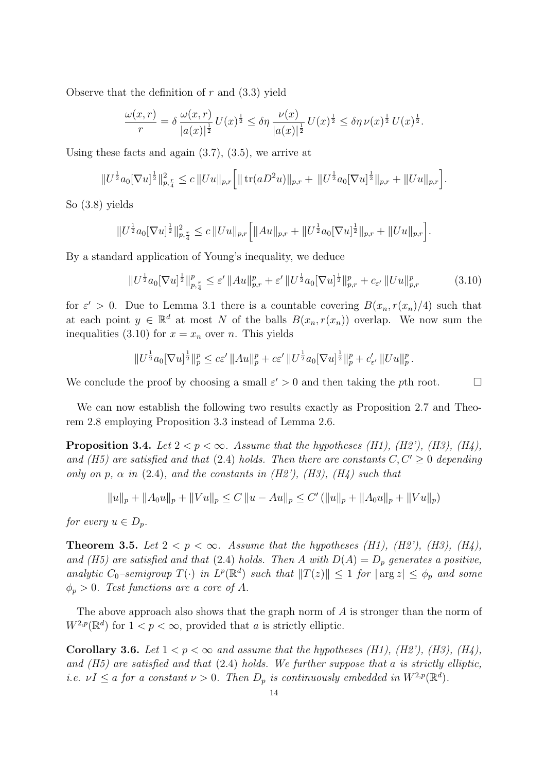Observe that the definition of  $r$  and  $(3.3)$  yield

$$
\frac{\omega(x,r)}{r} = \delta \frac{\omega(x,r)}{|a(x)|^{\frac{1}{2}}} U(x)^{\frac{1}{2}} \leq \delta \eta \frac{\nu(x)}{|a(x)|^{\frac{1}{2}}} U(x)^{\frac{1}{2}} \leq \delta \eta \nu(x)^{\frac{1}{2}} U(x)^{\frac{1}{2}}.
$$

Using these facts and again  $(3.7)$ ,  $(3.5)$ , we arrive at

$$
||U^{\frac{1}{2}}a_0[\nabla u]^{\frac{1}{2}}||_{p,\frac{r}{4}}^2 \leq c ||Uu||_{p,r} \Big[ || \operatorname{tr}(aD^2u)||_{p,r} + ||U^{\frac{1}{2}}a_0[\nabla u]^{\frac{1}{2}}||_{p,r} + ||Uu||_{p,r} \Big].
$$

So (3.8) yields

$$
||U^{\frac{1}{2}}a_0[\nabla u]^{\frac{1}{2}}||_{p,\frac{r}{4}}^2 \leq c||Uu||_{p,r}\Big[||Au||_{p,r} + ||U^{\frac{1}{2}}a_0[\nabla u]^{\frac{1}{2}}||_{p,r} + ||Uu||_{p,r}\Big].
$$

By a standard application of Young's inequality, we deduce

$$
||U^{\frac{1}{2}}a_0[\nabla u]^{\frac{1}{2}}||_{p,\frac{r}{4}}^p \leq \varepsilon' ||Au||_{p,r}^p + \varepsilon' ||U^{\frac{1}{2}}a_0[\nabla u]^{\frac{1}{2}}||_{p,r}^p + c_{\varepsilon'} ||Uu||_{p,r}^p \tag{3.10}
$$

for  $\varepsilon' > 0$ . Due to Lemma 3.1 there is a countable covering  $B(x_n, r(x_n)/4)$  such that at each point  $y \in \mathbb{R}^d$  at most N of the balls  $B(x_n, r(x_n))$  overlap. We now sum the inequalities (3.10) for  $x = x_n$  over n. This yields

$$
||U^{\frac{1}{2}}a_0[\nabla u]^{\frac{1}{2}}||_p^p \leq c\varepsilon' ||Au||_p^p + c\varepsilon' ||U^{\frac{1}{2}}a_0[\nabla u]^{\frac{1}{2}}||_p^p + c'_{\varepsilon'} ||Uu||_p^p.
$$

We conclude the proof by choosing a small  $\varepsilon' > 0$  and then taking the pth root.

We can now establish the following two results exactly as Proposition 2.7 and Theorem 2.8 employing Proposition 3.3 instead of Lemma 2.6.

**Proposition 3.4.** Let  $2 < p < \infty$ . Assume that the hypotheses (H1), (H2'), (H3), (H4), and (H5) are satisfied and that (2.4) holds. Then there are constants  $C, C' > 0$  depending only on p,  $\alpha$  in (2.4), and the constants in (H2'), (H3), (H4) such that

$$
||u||_p + ||A_0u||_p + ||Vu||_p \le C ||u - Au||_p \le C' (||u||_p + ||A_0u||_p + ||Vu||_p)
$$

for every  $u \in D_p$ .

**Theorem 3.5.** Let  $2 < p < \infty$ . Assume that the hypotheses (H1), (H2'), (H3), (H4), and (H5) are satisfied and that (2.4) holds. Then A with  $D(A) = D_p$  generates a positive, analytic  $C_0$ -semigroup  $T(\cdot)$  in  $L^p(\mathbb{R}^d)$  such that  $||T(z)|| \leq 1$  for  $|\arg z| \leq \phi_p$  and some  $\phi_p > 0$ . Test functions are a core of A.

The above approach also shows that the graph norm of A is stronger than the norm of  $W^{2,p}(\mathbb{R}^d)$  for  $1 < p < \infty$ , provided that a is strictly elliptic.

**Corollary 3.6.** Let  $1 < p < \infty$  and assume that the hypotheses (H1), (H2'), (H3), (H4), and  $(H5)$  are satisfied and that  $(2.4)$  holds. We further suppose that a is strictly elliptic, i.e.  $\nu I \le a$  for a constant  $\nu > 0$ . Then  $D_p$  is continuously embedded in  $W^{2,p}(\mathbb{R}^d)$ .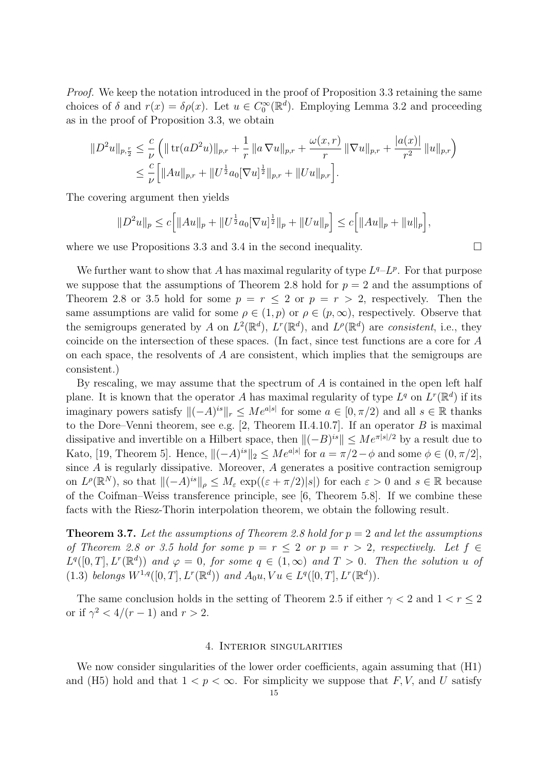Proof. We keep the notation introduced in the proof of Proposition 3.3 retaining the same choices of  $\delta$  and  $r(x) = \delta \rho(x)$ . Let  $u \in C_0^{\infty}(\mathbb{R}^d)$ . Employing Lemma 3.2 and proceeding as in the proof of Proposition 3.3, we obtain

$$
||D^2u||_{p,\frac{r}{2}} \leq \frac{c}{\nu} \left( || \operatorname{tr}(aD^2u) ||_{p,r} + \frac{1}{r} || a \nabla u ||_{p,r} + \frac{\omega(x,r)}{r} || \nabla u ||_{p,r} + \frac{|a(x)|}{r^2} ||u||_{p,r} \right)
$$
  

$$
\leq \frac{c}{\nu} \left[ ||Au||_{p,r} + ||U^{\frac{1}{2}}a_0[\nabla u]^{\frac{1}{2}}||_{p,r} + ||Uu||_{p,r} \right].
$$

The covering argument then yields

$$
||D^2u||_p \le c \Big[ ||Au||_p + ||U^{\frac{1}{2}}a_0[\nabla u]^{\frac{1}{2}}||_p + ||Uu||_p \Big] \le c \Big[ ||Au||_p + ||u||_p \Big],
$$

where we use Propositions 3.3 and 3.4 in the second inequality.  $\Box$ 

We further want to show that A has maximal regularity of type  $L^q$ - $L^p$ . For that purpose we suppose that the assumptions of Theorem 2.8 hold for  $p = 2$  and the assumptions of Theorem 2.8 or 3.5 hold for some  $p = r \le 2$  or  $p = r > 2$ , respectively. Then the same assumptions are valid for some  $\rho \in (1, p)$  or  $\rho \in (p, \infty)$ , respectively. Observe that the semigroups generated by A on  $L^2(\mathbb{R}^d)$ ,  $L^r(\mathbb{R}^d)$ , and  $L^{\rho}(\mathbb{R}^d)$  are consistent, i.e., they coincide on the intersection of these spaces. (In fact, since test functions are a core for A on each space, the resolvents of A are consistent, which implies that the semigroups are consistent.)

By rescaling, we may assume that the spectrum of  $A$  is contained in the open left half plane. It is known that the operator A has maximal regularity of type  $L^q$  on  $L^r(\mathbb{R}^d)$  if its imaginary powers satisfy  $\|(-A)^{is}\|_{r} \leq Me^{a|s|}$  for some  $a \in [0, \pi/2)$  and all  $s \in \mathbb{R}$  thanks to the Dore–Venni theorem, see e.g.  $[2,$  Theorem II.4.10.7]. If an operator B is maximal dissipative and invertible on a Hilbert space, then  $\|(-B)^{is}\| \le Me^{\pi|s|/2}$  by a result due to Kato, [19, Theorem 5]. Hence,  $\|(-A)^{is}\|_2 \le Me^{a|s|}$  for  $a = \pi/2 - \phi$  and some  $\phi \in (0, \pi/2]$ , since A is regularly dissipative. Moreover, A generates a positive contraction semigroup on  $L^{\rho}(\mathbb{R}^N)$ , so that  $\|(-A)^{is}\|_{\rho} \leq M_{\varepsilon} \exp((\varepsilon + \pi/2)|s|)$  for each  $\varepsilon > 0$  and  $s \in \mathbb{R}$  because of the Coifman–Weiss transference principle, see [6, Theorem 5.8]. If we combine these facts with the Riesz-Thorin interpolation theorem, we obtain the following result.

**Theorem 3.7.** Let the assumptions of Theorem 2.8 hold for  $p = 2$  and let the assumptions of Theorem 2.8 or 3.5 hold for some  $p = r \leq 2$  or  $p = r > 2$ , respectively. Let  $f \in$  $L^q([0,T], L^r(\mathbb{R}^d))$  and  $\varphi = 0$ , for some  $q \in (1,\infty)$  and  $T > 0$ . Then the solution u of (1.3) belongs  $W^{1,q}([0,T], L^r(\mathbb{R}^d))$  and  $A_0u, Vu \in L^q([0,T], L^r(\mathbb{R}^d))$ .

The same conclusion holds in the setting of Theorem 2.5 if either  $\gamma < 2$  and  $1 < r < 2$ or if  $\gamma^2 < 4/(r-1)$  and  $r > 2$ .

#### 4. Interior singularities

We now consider singularities of the lower order coefficients, again assuming that  $(H1)$ and (H5) hold and that  $1 < p < \infty$ . For simplicity we suppose that F, V, and U satisfy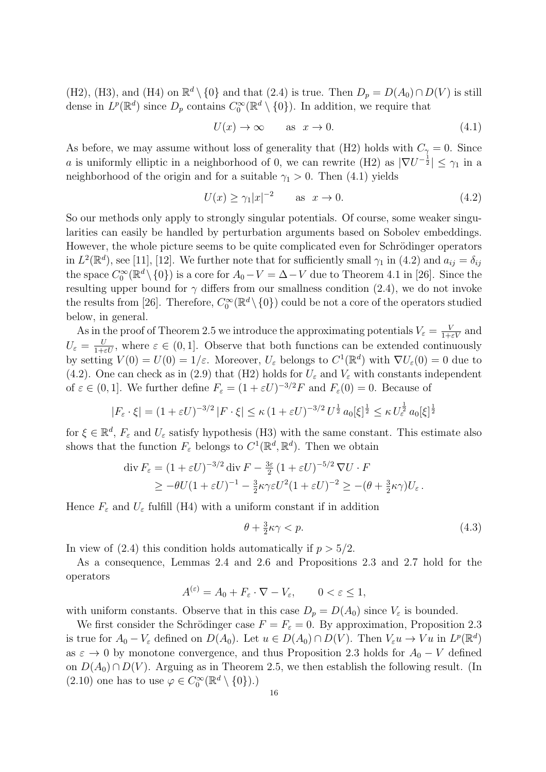(H2), (H3), and (H4) on  $\mathbb{R}^d \setminus \{0\}$  and that (2.4) is true. Then  $D_p = D(A_0) \cap D(V)$  is still dense in  $L^p(\mathbb{R}^d)$  since  $D_p$  contains  $C_0^{\infty}(\mathbb{R}^d \setminus \{0\})$ . In addition, we require that

$$
U(x) \to \infty \qquad \text{as } x \to 0. \tag{4.1}
$$

As before, we may assume without loss of generality that (H2) holds with  $C_{\gamma} = 0$ . Since a is uniformly elliptic in a neighborhood of 0, we can rewrite (H2) as  $|\nabla U^{-\frac{1}{2}}| \leq \gamma_1$  in a neighborhood of the origin and for a suitable  $\gamma_1 > 0$ . Then (4.1) yields

$$
U(x) \ge \gamma_1 |x|^{-2} \qquad \text{as } x \to 0. \tag{4.2}
$$

So our methods only apply to strongly singular potentials. Of course, some weaker singularities can easily be handled by perturbation arguments based on Sobolev embeddings. However, the whole picture seems to be quite complicated even for Schrödinger operators in  $L^2(\mathbb{R}^d)$ , see [11], [12]. We further note that for sufficiently small  $\gamma_1$  in (4.2) and  $a_{ij} = \delta_{ij}$ the space  $C_0^{\infty}(\mathbb{R}^d \setminus \{0\})$  is a core for  $A_0 - V = \Delta - V$  due to Theorem 4.1 in [26]. Since the resulting upper bound for  $\gamma$  differs from our smallness condition (2.4), we do not invoke the results from [26]. Therefore,  $C_0^{\infty}(\mathbb{R}^d \setminus \{0\})$  could be not a core of the operators studied below, in general.

As in the proof of Theorem 2.5 we introduce the approximating potentials  $V_{\varepsilon} = \frac{V}{1+\varepsilon V}$  and  $U_{\varepsilon} = \frac{U}{1+\varepsilon U}$ , where  $\varepsilon \in (0,1]$ . Observe that both functions can be extended continuously by setting  $V(0) = U(0) = 1/\varepsilon$ . Moreover,  $U_{\varepsilon}$  belongs to  $C^1(\mathbb{R}^d)$  with  $\nabla U_{\varepsilon}(0) = 0$  due to (4.2). One can check as in (2.9) that (H2) holds for  $U_{\varepsilon}$  and  $V_{\varepsilon}$  with constants independent of  $\varepsilon \in (0,1]$ . We further define  $F_{\varepsilon} = (1 + \varepsilon U)^{-3/2} F$  and  $F_{\varepsilon}(0) = 0$ . Because of

$$
|F_{\varepsilon} \cdot \xi| = (1 + \varepsilon U)^{-3/2} |F \cdot \xi| \le \kappa (1 + \varepsilon U)^{-3/2} U^{\frac{1}{2}} a_0 |\xi|^{\frac{1}{2}} \le \kappa U_{\varepsilon}^{\frac{1}{2}} a_0 |\xi|^{\frac{1}{2}}
$$

for  $\xi \in \mathbb{R}^d$ ,  $F_{\varepsilon}$  and  $U_{\varepsilon}$  satisfy hypothesis (H3) with the same constant. This estimate also shows that the function  $F_{\varepsilon}$  belongs to  $C^{1}(\mathbb{R}^{d}, \mathbb{R}^{d})$ . Then we obtain

$$
\operatorname{div} F_{\varepsilon} = (1 + \varepsilon U)^{-3/2} \operatorname{div} F - \frac{3\varepsilon}{2} (1 + \varepsilon U)^{-5/2} \nabla U \cdot F
$$
  
\n
$$
\geq -\theta U (1 + \varepsilon U)^{-1} - \frac{3}{2} \kappa \gamma \varepsilon U^2 (1 + \varepsilon U)^{-2} \geq -(\theta + \frac{3}{2} \kappa \gamma) U_{\varepsilon}.
$$

Hence  $F_{\varepsilon}$  and  $U_{\varepsilon}$  fulfill (H4) with a uniform constant if in addition

$$
\theta + \frac{3}{2}\kappa\gamma < p. \tag{4.3}
$$

In view of  $(2.4)$  this condition holds automatically if  $p > 5/2$ .

As a consequence, Lemmas 2.4 and 2.6 and Propositions 2.3 and 2.7 hold for the operators

$$
A^{(\varepsilon)} = A_0 + F_{\varepsilon} \cdot \nabla - V_{\varepsilon}, \qquad 0 < \varepsilon \le 1,
$$

with uniform constants. Observe that in this case  $D_p = D(A_0)$  since  $V_{\varepsilon}$  is bounded.

We first consider the Schrödinger case  $F = F_{\varepsilon} = 0$ . By approximation, Proposition 2.3 is true for  $A_0 - V_{\varepsilon}$  defined on  $D(A_0)$ . Let  $u \in D(A_0) \cap D(V)$ . Then  $V_{\varepsilon}u \to Vu$  in  $L^p(\mathbb{R}^d)$ as  $\varepsilon \to 0$  by monotone convergence, and thus Proposition 2.3 holds for  $A_0 - V$  defined on  $D(A_0) \cap D(V)$ . Arguing as in Theorem 2.5, we then establish the following result. (In (2.10) one has to use  $\varphi\in C_0^\infty(\mathbb{R}^d\setminus\{0\}).$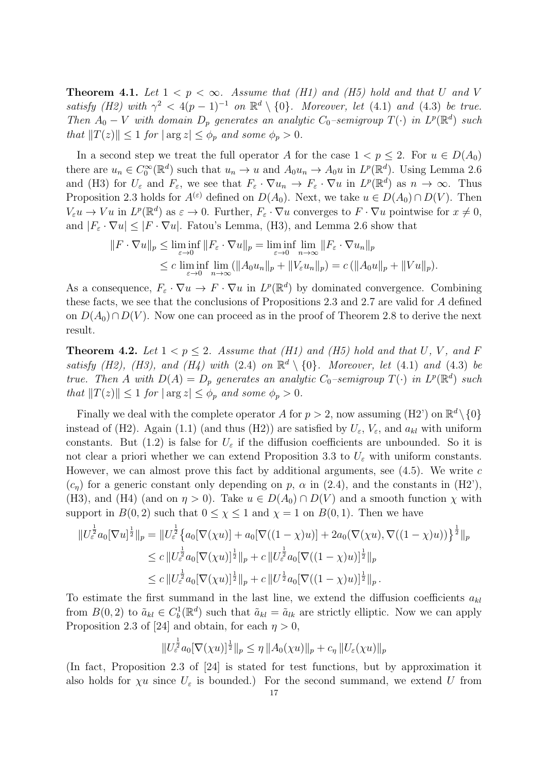**Theorem 4.1.** Let  $1 < p < \infty$ . Assume that (H1) and (H5) hold and that U and V satisfy (H2) with  $\gamma^2 < 4(p-1)^{-1}$  on  $\mathbb{R}^d \setminus \{0\}$ . Moreover, let (4.1) and (4.3) be true. Then  $A_0 - V$  with domain  $D_p$  generates an analytic  $C_0$ -semigroup  $T(\cdot)$  in  $L^p(\mathbb{R}^d)$  such that  $||T(z)|| \leq 1$  for  $|\arg z| \leq \phi_p$  and some  $\phi_p > 0$ .

In a second step we treat the full operator A for the case  $1 < p \le 2$ . For  $u \in D(A_0)$ there are  $u_n \in C_0^{\infty}(\mathbb{R}^d)$  such that  $u_n \to u$  and  $A_0 u_n \to A_0 u$  in  $L^p(\mathbb{R}^d)$ . Using Lemma 2.6 and (H3) for  $U_{\varepsilon}$  and  $F_{\varepsilon}$ , we see that  $F_{\varepsilon} \cdot \nabla u_n \to F_{\varepsilon} \cdot \nabla u$  in  $L^p(\mathbb{R}^d)$  as  $n \to \infty$ . Thus Proposition 2.3 holds for  $A^{(\varepsilon)}$  defined on  $D(A_0)$ . Next, we take  $u \in D(A_0) \cap D(V)$ . Then  $V_{\varepsilon}u \to Vu$  in  $L^p(\mathbb{R}^d)$  as  $\varepsilon \to 0$ . Further,  $F_{\varepsilon} \cdot \nabla u$  converges to  $F \cdot \nabla u$  pointwise for  $x \neq 0$ , and  $|F_{\varepsilon} \cdot \nabla u| \leq |F \cdot \nabla u|$ . Fatou's Lemma, (H3), and Lemma 2.6 show that

$$
||F \cdot \nabla u||_p \le \liminf_{\varepsilon \to 0} ||F_{\varepsilon} \cdot \nabla u||_p = \liminf_{\varepsilon \to 0} \lim_{n \to \infty} ||F_{\varepsilon} \cdot \nabla u_n||_p
$$
  

$$
\le c \liminf_{\varepsilon \to 0} \lim_{n \to \infty} (||A_0 u_n||_p + ||V_{\varepsilon} u_n||_p) = c (||A_0 u||_p + ||Vu||_p).
$$

As a consequence,  $F_{\varepsilon} \cdot \nabla u \to F \cdot \nabla u$  in  $L^p(\mathbb{R}^d)$  by dominated convergence. Combining these facts, we see that the conclusions of Propositions 2.3 and 2.7 are valid for A defined on  $D(A_0) ∩ D(V)$ . Now one can proceed as in the proof of Theorem 2.8 to derive the next result.

**Theorem 4.2.** Let  $1 < p \le 2$ . Assume that (H1) and (H5) hold and that U, V, and F satisfy (H2), (H3), and (H4) with (2.4) on  $\mathbb{R}^d \setminus \{0\}$ . Moreover, let (4.1) and (4.3) be true. Then A with  $D(A) = D_p$  generates an analytic  $C_0$ -semigroup  $T(\cdot)$  in  $L^p(\mathbb{R}^d)$  such that  $||T(z)|| \leq 1$  for  $|\arg z| \leq \phi_p$  and some  $\phi_p > 0$ .

Finally we deal with the complete operator A for  $p > 2$ , now assuming (H2') on  $\mathbb{R}^d \setminus \{0\}$ instead of (H2). Again (1.1) (and thus (H2)) are satisfied by  $U_{\varepsilon}$ ,  $V_{\varepsilon}$ , and  $a_{kl}$  with uniform constants. But (1.2) is false for  $U_{\varepsilon}$  if the diffusion coefficients are unbounded. So it is not clear a priori whether we can extend Proposition 3.3 to  $U_{\varepsilon}$  with uniform constants. However, we can almost prove this fact by additional arguments, see  $(4.5)$ . We write c  $(c_n)$  for a generic constant only depending on p,  $\alpha$  in (2.4), and the constants in (H2'), (H3), and (H4) (and on  $\eta > 0$ ). Take  $u \in D(A_0) \cap D(V)$  and a smooth function  $\chi$  with support in  $B(0, 2)$  such that  $0 \leq \chi \leq 1$  and  $\chi = 1$  on  $B(0, 1)$ . Then we have

$$
\|U_{\varepsilon}^{\frac{1}{2}}a_{0}[\nabla u]^{\frac{1}{2}}\|_{p} = \|U_{\varepsilon}^{\frac{1}{2}}\left\{a_{0}[\nabla(\chi u)] + a_{0}[\nabla((1-\chi)u)] + 2a_{0}(\nabla(\chi u), \nabla((1-\chi)u))\right\}^{\frac{1}{2}}\|_{p}
$$
  
\n
$$
\leq c\|U_{\varepsilon}^{\frac{1}{2}}a_{0}[\nabla(\chi u)]^{\frac{1}{2}}\|_{p} + c\|U_{\varepsilon}^{\frac{1}{2}}a_{0}[\nabla((1-\chi)u)]^{\frac{1}{2}}\|_{p}
$$
  
\n
$$
\leq c\|U_{\varepsilon}^{\frac{1}{2}}a_{0}[\nabla(\chi u)]^{\frac{1}{2}}\|_{p} + c\|U_{\varepsilon}^{\frac{1}{2}}a_{0}[\nabla((1-\chi)u)]^{\frac{1}{2}}\|_{p}.
$$

To estimate the first summand in the last line, we extend the diffusion coefficients  $a_{kl}$ from  $B(0, 2)$  to  $\tilde{a}_{kl} \in C_b^1(\mathbb{R}^d)$  such that  $\tilde{a}_{kl} = \tilde{a}_{lk}$  are strictly elliptic. Now we can apply Proposition 2.3 of [24] and obtain, for each  $\eta > 0$ ,

$$
||U_{\varepsilon}^{\frac{1}{2}}a_0[\nabla(\chi u)]^{\frac{1}{2}}||_p \leq \eta ||A_0(\chi u)||_p + c_{\eta} ||U_{\varepsilon}(\chi u)||_p
$$

1

(In fact, Proposition 2.3 of [24] is stated for test functions, but by approximation it also holds for  $\chi u$  since  $U_{\varepsilon}$  is bounded.) For the second summand, we extend U from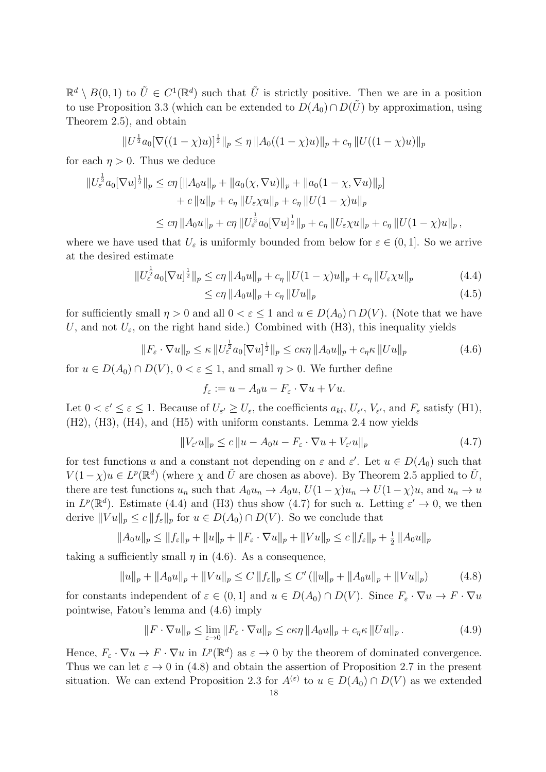$\mathbb{R}^d \setminus B(0,1)$  to  $\tilde{U} \in C^1(\mathbb{R}^d)$  such that  $\tilde{U}$  is strictly positive. Then we are in a position to use Proposition 3.3 (which can be extended to  $D(A_0) \cap D(\tilde{U})$  by approximation, using Theorem 2.5), and obtain

$$
||U^{\frac{1}{2}}a_0[\nabla((1-\chi)u)]^{\frac{1}{2}}||_p \leq \eta ||A_0((1-\chi)u)||_p + c_\eta ||U((1-\chi)u)||_p
$$

for each  $\eta > 0$ . Thus we deduce

$$
\|U_{\varepsilon}^{\frac{1}{2}}a_0[\nabla u]^{\frac{1}{2}}\|_{p} \leq c\eta \left[\|A_0 u\|_{p} + \|a_0(\chi, \nabla u)\|_{p} + \|a_0(1 - \chi, \nabla u)\|_{p}\right] + c\|u\|_{p} + c_{\eta} \|U_{\varepsilon} \chi u\|_{p} + c_{\eta} \|U(1 - \chi)u\|_{p} \leq c\eta \|A_0 u\|_{p} + c\eta \|U_{\varepsilon}^{\frac{1}{2}}a_0[\nabla u]^{\frac{1}{2}}\|_{p} + c_{\eta} \|U_{\varepsilon} \chi u\|_{p} + c_{\eta} \|U(1 - \chi)u\|_{p},
$$

where we have used that  $U_{\varepsilon}$  is uniformly bounded from below for  $\varepsilon \in (0,1]$ . So we arrive at the desired estimate

$$
||U_{\varepsilon}^{\frac{1}{2}} a_0 [\nabla u]^{\frac{1}{2}}||_p \leq c \eta ||A_0 u||_p + c_{\eta} ||U(1 - \chi)u||_p + c_{\eta} ||U_{\varepsilon} \chi u||_p \tag{4.4}
$$

$$
\leq c\eta \, \|A_0 u\|_p + c_\eta \, \|Uu\|_p \tag{4.5}
$$

for sufficiently small  $\eta > 0$  and all  $0 < \varepsilon \leq 1$  and  $u \in D(A_0) \cap D(V)$ . (Note that we have U, and not  $U_{\varepsilon}$ , on the right hand side.) Combined with (H3), this inequality yields

$$
||F_{\varepsilon} \cdot \nabla u||_p \le \kappa ||U_{\varepsilon}^{\frac{1}{2}} a_0 [\nabla u]^{\frac{1}{2}}||_p \le c\kappa \eta ||A_0 u||_p + c_{\eta} \kappa ||Uu||_p \tag{4.6}
$$

for  $u \in D(A_0) \cap D(V)$ ,  $0 < \varepsilon < 1$ , and small  $\eta > 0$ . We further define

$$
f_{\varepsilon} := u - A_0 u - F_{\varepsilon} \cdot \nabla u + Vu.
$$

Let  $0 < \varepsilon' \leq \varepsilon \leq 1$ . Because of  $U_{\varepsilon'} \geq U_{\varepsilon}$ , the coefficients  $a_{kl}$ ,  $U_{\varepsilon'}$ ,  $V_{\varepsilon'}$ , and  $F_{\varepsilon}$  satisfy (H1), (H2), (H3), (H4), and (H5) with uniform constants. Lemma 2.4 now yields

$$
||V_{\varepsilon'}u||_p \le c ||u - A_0u - F_{\varepsilon} \cdot \nabla u + V_{\varepsilon'}u||_p \tag{4.7}
$$

for test functions u and a constant not depending on  $\varepsilon$  and  $\varepsilon'$ . Let  $u \in D(A_0)$  such that  $V(1-\chi)u \in L^p(\mathbb{R}^d)$  (where  $\chi$  and  $\tilde{U}$  are chosen as above). By Theorem 2.5 applied to  $\tilde{U}$ , there are test functions  $u_n$  such that  $A_0u_n \to A_0u$ ,  $U(1-\chi)u_n \to U(1-\chi)u$ , and  $u_n \to u$ in  $L^p(\mathbb{R}^d)$ . Estimate (4.4) and (H3) thus show (4.7) for such u. Letting  $\varepsilon' \to 0$ , we then derive  $||Vu||_p \le c ||f_{\varepsilon}||_p$  for  $u \in D(A_0) \cap D(V)$ . So we conclude that

$$
||A_0u||_p \le ||f_{\varepsilon}||_p + ||u||_p + ||F_{\varepsilon} \cdot \nabla u||_p + ||Vu||_p \le c ||f_{\varepsilon}||_p + \frac{1}{2} ||A_0u||_p
$$

taking a sufficiently small  $\eta$  in (4.6). As a consequence,

$$
||u||_p + ||A_0u||_p + ||Vu||_p \le C ||f_{\varepsilon}||_p \le C' (||u||_p + ||A_0u||_p + ||Vu||_p)
$$
 (4.8)

for constants independent of  $\varepsilon \in (0,1]$  and  $u \in D(A_0) \cap D(V)$ . Since  $F_{\varepsilon} \cdot \nabla u \to F \cdot \nabla u$ pointwise, Fatou's lemma and (4.6) imply

$$
||F \cdot \nabla u||_p \le \lim_{\varepsilon \to 0} ||F_{\varepsilon} \cdot \nabla u||_p \le c\kappa \eta ||A_0 u||_p + c_{\eta} \kappa ||Uu||_p.
$$
 (4.9)

Hence,  $F_{\varepsilon} \cdot \nabla u \to F \cdot \nabla u$  in  $L^p(\mathbb{R}^d)$  as  $\varepsilon \to 0$  by the theorem of dominated convergence. Thus we can let  $\varepsilon \to 0$  in (4.8) and obtain the assertion of Proposition 2.7 in the present situation. We can extend Proposition 2.3 for  $A^{(\varepsilon)}$  to  $u \in D(A_0) \cap D(V)$  as we extended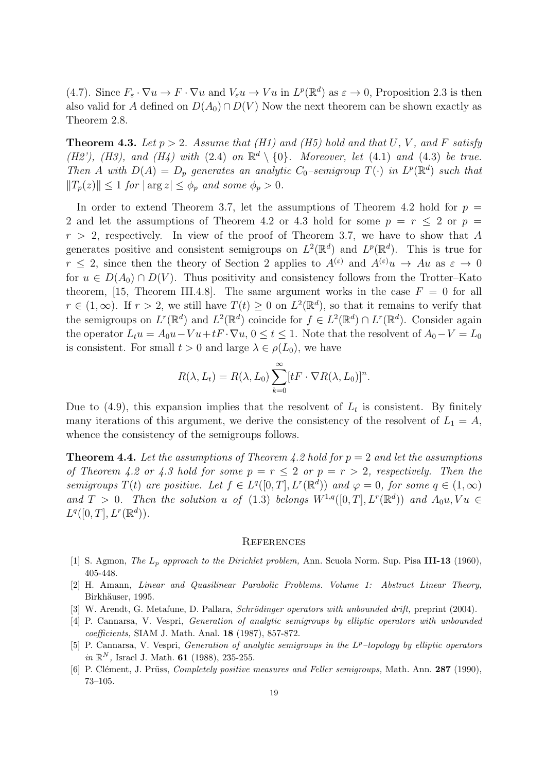(4.7). Since  $F_{\varepsilon} \cdot \nabla u \to F \cdot \nabla u$  and  $V_{\varepsilon}u \to Vu$  in  $L^p(\mathbb{R}^d)$  as  $\varepsilon \to 0$ , Proposition 2.3 is then also valid for A defined on  $D(A_0) \cap D(V)$  Now the next theorem can be shown exactly as Theorem 2.8.

**Theorem 4.3.** Let  $p > 2$ . Assume that (H1) and (H5) hold and that U, V, and F satisfy (H2'), (H3), and (H4) with (2.4) on  $\mathbb{R}^d \setminus \{0\}$ . Moreover, let (4.1) and (4.3) be true. Then A with  $D(A) = D_p$  generates an analytic  $C_0$ -semigroup  $T(\cdot)$  in  $L^p(\mathbb{R}^d)$  such that  $||T_p(z)|| \leq 1$  for  $|\arg z| \leq \phi_p$  and some  $\phi_p > 0$ .

In order to extend Theorem 3.7, let the assumptions of Theorem 4.2 hold for  $p =$ 2 and let the assumptions of Theorem 4.2 or 4.3 hold for some  $p = r \le 2$  or  $p =$  $r > 2$ , respectively. In view of the proof of Theorem 3.7, we have to show that A generates positive and consistent semigroups on  $L^2(\mathbb{R}^d)$  and  $L^p(\mathbb{R}^d)$ . This is true for  $r \leq 2$ , since then the theory of Section 2 applies to  $A^{(\varepsilon)}$  and  $A^{(\varepsilon)}u \to Au$  as  $\varepsilon \to 0$ for  $u \in D(A_0) \cap D(V)$ . Thus positivity and consistency follows from the Trotter–Kato theorem, [15, Theorem III.4.8]. The same argument works in the case  $F = 0$  for all  $r \in (1,\infty)$ . If  $r > 2$ , we still have  $T(t) \geq 0$  on  $L^2(\mathbb{R}^d)$ , so that it remains to verify that the semigroups on  $L^r(\mathbb{R}^d)$  and  $L^2(\mathbb{R}^d)$  coincide for  $f \in L^2(\mathbb{R}^d) \cap L^r(\mathbb{R}^d)$ . Consider again the operator  $L_t u = A_0 u - Vu + tF \cdot \nabla u$ ,  $0 \le t \le 1$ . Note that the resolvent of  $A_0 - V = L_0$ is consistent. For small  $t > 0$  and large  $\lambda \in \rho(L_0)$ , we have

$$
R(\lambda, L_t) = R(\lambda, L_0) \sum_{k=0}^{\infty} [tF \cdot \nabla R(\lambda, L_0)]^n.
$$

Due to  $(4.9)$ , this expansion implies that the resolvent of  $L_t$  is consistent. By finitely many iterations of this argument, we derive the consistency of the resolvent of  $L_1 = A$ , whence the consistency of the semigroups follows.

**Theorem 4.4.** Let the assumptions of Theorem 4.2 hold for  $p = 2$  and let the assumptions of Theorem 4.2 or 4.3 hold for some  $p = r \le 2$  or  $p = r > 2$ , respectively. Then the semigroups  $T(t)$  are positive. Let  $f \in L^q([0,T], L^r(\mathbb{R}^d))$  and  $\varphi = 0$ , for some  $q \in (1,\infty)$ and  $T > 0$ . Then the solution u of (1.3) belongs  $W^{1,q}([0,T], L^r(\mathbb{R}^d))$  and  $A_0u, Vu \in$  $L^q([0,T], L^r(\mathbb{R}^d)).$ 

#### **REFERENCES**

- [1] S. Agmon, The  $L_p$  approach to the Dirichlet problem, Ann. Scuola Norm. Sup. Pisa III-13 (1960), 405-448.
- [2] H. Amann, Linear and Quasilinear Parabolic Problems. Volume 1: Abstract Linear Theory, Birkhäuser, 1995.
- [3] W. Arendt, G. Metafune, D. Pallara, Schrödinger operators with unbounded drift, preprint (2004).
- [4] P. Cannarsa, V. Vespri, Generation of analytic semigroups by elliptic operators with unbounded coefficients, SIAM J. Math. Anal. 18 (1987), 857-872.
- [5] P. Cannarsa, V. Vespri, *Generation of analytic semigroups in the*  $L^p$ *-topology by elliptic operators* in  $\mathbb{R}^N$ , Israel J. Math. **61** (1988), 235-255.
- [6] P. Clément, J. Prüss, *Completely positive measures and Feller semigroups*, Math. Ann. 287 (1990), 73–105.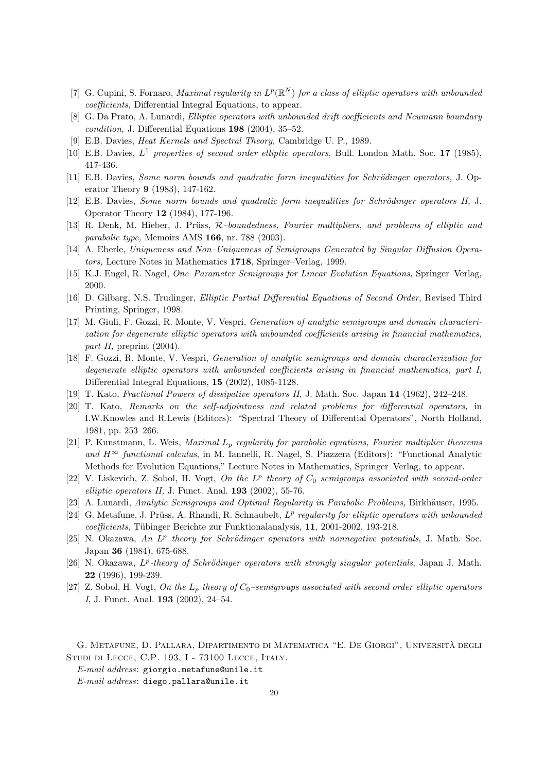- [7] G. Cupini, S. Fornaro, *Maximal regularity in*  $L^p(\mathbb{R}^N)$  for a class of elliptic operators with unbounded coefficients, Differential Integral Equations, to appear.
- [8] G. Da Prato, A. Lunardi, Elliptic operators with unbounded drift coefficients and Neumann boundary condition, J. Differential Equations 198 (2004), 35–52.
- [9] E.B. Davies, Heat Kernels and Spectral Theory, Cambridge U. P., 1989.
- [10] E.B. Davies,  $L^1$  properties of second order elliptic operators, Bull. London Math. Soc. 17 (1985), 417-436.
- [11] E.B. Davies, Some norm bounds and quadratic form inequalities for Schrödinger operators, J. Operator Theory 9 (1983), 147-162.
- [12] E.B. Davies, Some norm bounds and quadratic form inequalities for Schrödinger operators II, J. Operator Theory 12 (1984), 177-196.
- [13] R. Denk, M. Hieber, J. Prüss,  $R$ -boundedness, Fourier multipliers, and problems of elliptic and parabolic type, Memoirs AMS 166, nr. 788 (2003).
- [14] A. Eberle, Uniqueness and Non–Uniqueness of Semigroups Generated by Singular Diffusion Operators, Lecture Notes in Mathematics 1718, Springer–Verlag, 1999.
- [15] K.J. Engel, R. Nagel, One–Parameter Semigroups for Linear Evolution Equations, Springer–Verlag, 2000.
- [16] D. Gilbarg, N.S. Trudinger, Elliptic Partial Differential Equations of Second Order, Revised Third Printing, Springer, 1998.
- [17] M. Giuli, F. Gozzi, R. Monte, V. Vespri, Generation of analytic semigroups and domain characterization for degenerate elliptic operators with unbounded coefficients arising in financial mathematics, part II, preprint  $(2004)$ .
- [18] F. Gozzi, R. Monte, V. Vespri, Generation of analytic semigroups and domain characterization for degenerate elliptic operators with unbounded coefficients arising in financial mathematics, part I, Differential Integral Equations, 15 (2002), 1085-1128.
- [19] T. Kato, Fractional Powers of dissipative operators II, J. Math. Soc. Japan 14 (1962), 242–248.
- [20] T. Kato, Remarks on the self-adjointness and related problems for differential operators, in I.W.Knowles and R.Lewis (Editors): "Spectral Theory of Differential Operators", North Holland, 1981, pp. 253–266.
- [21] P. Kunstmann, L. Weis, *Maximal L<sub>p</sub>* regularity for parabolic equations, Fourier multiplier theorems and  $H^{\infty}$  functional calculus, in M. Iannelli, R. Nagel, S. Piazzera (Editors): "Functional Analytic Methods for Evolution Equations," Lecture Notes in Mathematics, Springer–Verlag, to appear.
- [22] V. Liskevich, Z. Sobol, H. Vogt, On the  $L^p$  theory of  $C_0$  semigroups associated with second-order elliptic operators II, J. Funct. Anal.  $193$  (2002), 55-76.
- [23] A. Lunardi, Analytic Semigroups and Optimal Regularity in Parabolic Problems, Birkhäuser, 1995.
- [24] G. Metafune, J. Prüss, A. Rhandi, R. Schnaubelt,  $L^p$  regularity for elliptic operators with unbounded coefficients, T¨ubinger Berichte zur Funktionalanalysis, 11, 2001-2002, 193-218.
- [25] N. Okazawa, An  $L^p$  theory for Schrödinger operators with nonnegative potentials, J. Math. Soc. Japan 36 (1984), 675-688.
- [26] N. Okazawa,  $L^p$ -theory of Schrödinger operators with strongly singular potentials, Japan J. Math. 22 (1996), 199-239.
- [27] Z. Sobol, H. Vogt, On the  $L_p$  theory of  $C_0$ -semigroups associated with second order elliptic operators I, J. Funct. Anal. 193 (2002), 24–54.

G. Metafune, D. Pallara, Dipartimento di Matematica "E. De Giorgi", Universita degli ` Studi di Lecce, C.P. 193, I - 73100 Lecce, Italy.

E-mail address: giorgio.metafune@unile.it

E-mail address: diego.pallara@unile.it